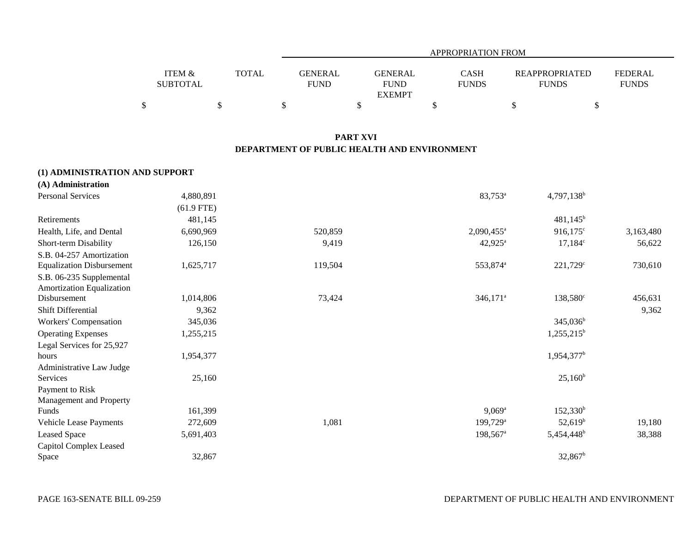|                   |              |                | APPROPRIATION FROM |              |                       |              |  |  |
|-------------------|--------------|----------------|--------------------|--------------|-----------------------|--------------|--|--|
| <b>ITEM &amp;</b> | <b>TOTAL</b> | <b>GENERAL</b> | <b>GENERAL</b>     | <b>CASH</b>  | <b>REAPPROPRIATED</b> | FEDERAL      |  |  |
| <b>SUBTOTAL</b>   |              | <b>FUND</b>    | <b>FUND</b>        | <b>FUNDS</b> | <b>FUNDS</b>          | <b>FUNDS</b> |  |  |
|                   |              |                | <b>EXEMPT</b>      |              |                       |              |  |  |
|                   |              |                |                    |              |                       |              |  |  |

### **PART XVI DEPARTMENT OF PUBLIC HEALTH AND ENVIRONMENT**

#### **(1) ADMINISTRATION AND SUPPORT**

| (A) Administration               |              |         |                          |                        |           |
|----------------------------------|--------------|---------|--------------------------|------------------------|-----------|
| <b>Personal Services</b>         | 4,880,891    |         | 83,753 <sup>a</sup>      | $4,797,138^b$          |           |
|                                  | $(61.9$ FTE) |         |                          |                        |           |
| Retirements                      | 481,145      |         |                          | $481,145^b$            |           |
| Health, Life, and Dental         | 6,690,969    | 520,859 | $2,090,455$ <sup>a</sup> | $916,175^{\circ}$      | 3,163,480 |
| Short-term Disability            | 126,150      | 9,419   | $42,925^{\circ}$         | $17,184^c$             | 56,622    |
| S.B. 04-257 Amortization         |              |         |                          |                        |           |
| <b>Equalization Disbursement</b> | 1,625,717    | 119,504 | 553,874 <sup>a</sup>     | $221,729^{\circ}$      | 730,610   |
| S.B. 06-235 Supplemental         |              |         |                          |                        |           |
| Amortization Equalization        |              |         |                          |                        |           |
| Disbursement                     | 1,014,806    | 73,424  | $346,171$ <sup>a</sup>   | $138,580^{\circ}$      | 456,631   |
| Shift Differential               | 9,362        |         |                          |                        | 9,362     |
| Workers' Compensation            | 345,036      |         |                          | $345,036^b$            |           |
| <b>Operating Expenses</b>        | 1,255,215    |         |                          | $1,255,215^{\rm b}$    |           |
| Legal Services for 25,927        |              |         |                          |                        |           |
| hours                            | 1,954,377    |         |                          | $1,954,377^b$          |           |
| Administrative Law Judge         |              |         |                          |                        |           |
| Services                         | 25,160       |         |                          | $25,160^b$             |           |
| Payment to Risk                  |              |         |                          |                        |           |
| Management and Property          |              |         |                          |                        |           |
| Funds                            | 161,399      |         | $9,069^{\rm a}$          | $152,330^b$            |           |
| Vehicle Lease Payments           | 272,609      | 1,081   | $199,729$ <sup>a</sup>   | $52,619^b$             | 19,180    |
| Leased Space                     | 5,691,403    |         | $198,567$ <sup>a</sup>   | 5,454,448 <sup>b</sup> | 38,388    |
| Capitol Complex Leased           |              |         |                          |                        |           |
| Space                            | 32,867       |         |                          | $32,867^{\rm b}$       |           |
|                                  |              |         |                          |                        |           |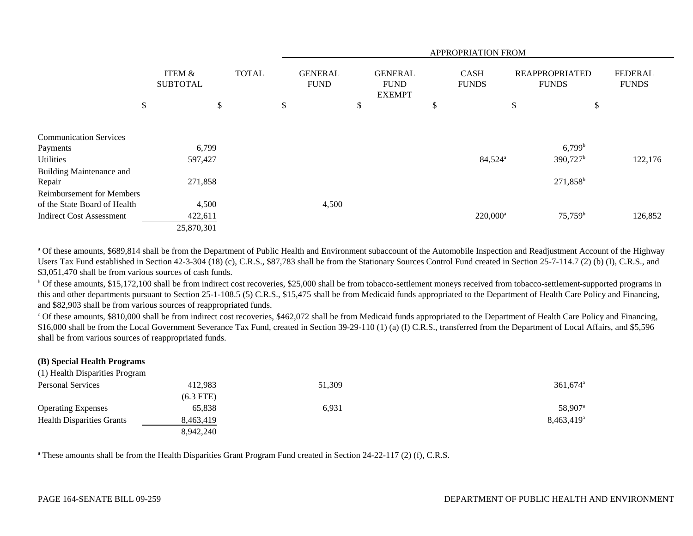|                                  |                           |              |                               |                                                | <b>APPROPRIATION FROM</b>   |                                       |                                |
|----------------------------------|---------------------------|--------------|-------------------------------|------------------------------------------------|-----------------------------|---------------------------------------|--------------------------------|
|                                  | ITEM &<br><b>SUBTOTAL</b> | <b>TOTAL</b> | <b>GENERAL</b><br><b>FUND</b> | <b>GENERAL</b><br><b>FUND</b><br><b>EXEMPT</b> | <b>CASH</b><br><b>FUNDS</b> | <b>REAPPROPRIATED</b><br><b>FUNDS</b> | <b>FEDERAL</b><br><b>FUNDS</b> |
|                                  | \$                        | \$           | \$<br>\$                      |                                                | \$                          | \$                                    | \$                             |
| <b>Communication Services</b>    |                           |              |                               |                                                |                             |                                       |                                |
| Payments                         | 6,799                     |              |                               |                                                |                             | $6,799^b$                             |                                |
| Utilities                        | 597,427                   |              |                               |                                                | 84,524 <sup>a</sup>         | 390,727 <sup>b</sup>                  | 122,176                        |
| Building Maintenance and         |                           |              |                               |                                                |                             |                                       |                                |
| Repair                           | 271,858                   |              |                               |                                                |                             | $271,858^b$                           |                                |
| <b>Reimbursement for Members</b> |                           |              |                               |                                                |                             |                                       |                                |
| of the State Board of Health     | 4,500                     |              | 4,500                         |                                                |                             |                                       |                                |
| <b>Indirect Cost Assessment</b>  | 422,611                   |              |                               |                                                | $220,000^a$                 | $75,759^{\rm b}$                      | 126,852                        |
|                                  | 25,870,301                |              |                               |                                                |                             |                                       |                                |

<sup>a</sup> Of these amounts, \$689,814 shall be from the Department of Public Health and Environment subaccount of the Automobile Inspection and Readjustment Account of the Highway Users Tax Fund established in Section 42-3-304 (18) (c), C.R.S., \$87,783 shall be from the Stationary Sources Control Fund created in Section 25-7-114.7 (2) (b) (I), C.R.S., and \$3,051,470 shall be from various sources of cash funds.

<sup>b</sup> Of these amounts, \$15,172,100 shall be from indirect cost recoveries, \$25,000 shall be from tobacco-settlement moneys received from tobacco-settlement-supported programs in this and other departments pursuant to Section 25-1-108.5 (5) C.R.S., \$15,475 shall be from Medicaid funds appropriated to the Department of Health Care Policy and Financing, and \$82,903 shall be from various sources of reappropriated funds.

c Of these amounts, \$810,000 shall be from indirect cost recoveries, \$462,072 shall be from Medicaid funds appropriated to the Department of Health Care Policy and Financing, \$16,000 shall be from the Local Government Severance Tax Fund, created in Section 39-29-110 (1) (a) (I) C.R.S., transferred from the Department of Local Affairs, and \$5,596 shall be from various sources of reappropriated funds.

# **(B) Special Health Programs**

| (1) Health Disparities Program   |             |        |                        |
|----------------------------------|-------------|--------|------------------------|
| <b>Personal Services</b>         | 412,983     | 51,309 | $361.674$ <sup>a</sup> |
|                                  | $(6.3$ FTE) |        |                        |
| <b>Operating Expenses</b>        | 65,838      | 6,931  | 58,907 <sup>a</sup>    |
| <b>Health Disparities Grants</b> | 8,463,419   |        | $8,463,419^a$          |
|                                  | 8.942.240   |        |                        |

<sup>a</sup> These amounts shall be from the Health Disparities Grant Program Fund created in Section 24-22-117 (2) (f), C.R.S.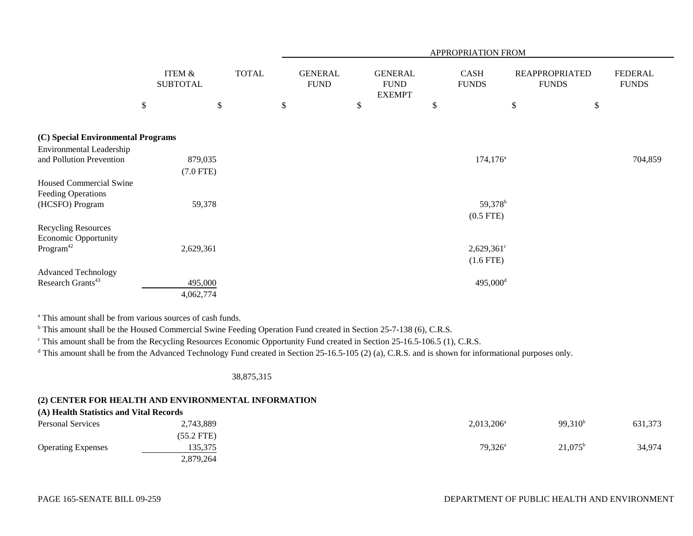|                                                             |                           |              |      |                               |                                                | APPROPRIATION FROM          |                                       |                                |
|-------------------------------------------------------------|---------------------------|--------------|------|-------------------------------|------------------------------------------------|-----------------------------|---------------------------------------|--------------------------------|
|                                                             | ITEM &<br><b>SUBTOTAL</b> | <b>TOTAL</b> |      | <b>GENERAL</b><br><b>FUND</b> | <b>GENERAL</b><br><b>FUND</b><br><b>EXEMPT</b> | <b>CASH</b><br><b>FUNDS</b> | <b>REAPPROPRIATED</b><br><b>FUNDS</b> | <b>FEDERAL</b><br><b>FUNDS</b> |
|                                                             | $\$$                      | \$           | $\$$ |                               | \$                                             | \$                          | \$                                    | \$                             |
| (C) Special Environmental Programs                          |                           |              |      |                               |                                                |                             |                                       |                                |
| Environmental Leadership                                    |                           |              |      |                               |                                                |                             |                                       |                                |
| and Pollution Prevention                                    | 879,035                   |              |      |                               |                                                | $174, 176^{\circ}$          |                                       | 704,859                        |
|                                                             | $(7.0$ FTE)               |              |      |                               |                                                |                             |                                       |                                |
| <b>Housed Commercial Swine</b><br><b>Feeding Operations</b> |                           |              |      |                               |                                                |                             |                                       |                                |
| (HCSFO) Program                                             | 59,378                    |              |      |                               |                                                | 59,378 <sup>b</sup>         |                                       |                                |
|                                                             |                           |              |      |                               |                                                | $(0.5$ FTE)                 |                                       |                                |
| <b>Recycling Resources</b><br><b>Economic Opportunity</b>   |                           |              |      |                               |                                                |                             |                                       |                                |
| Program <sup>42</sup>                                       | 2,629,361                 |              |      |                               |                                                | $2,629,361^{\circ}$         |                                       |                                |
|                                                             |                           |              |      |                               |                                                | $(1.6$ FTE)                 |                                       |                                |
| <b>Advanced Technology</b>                                  |                           |              |      |                               |                                                |                             |                                       |                                |
| Research Grants <sup>43</sup>                               | 495,000                   |              |      |                               |                                                | 495,000 <sup>d</sup>        |                                       |                                |
|                                                             | 4,062,774                 |              |      |                               |                                                |                             |                                       |                                |

<sup>a</sup> This amount shall be from various sources of cash funds.

<sup>b</sup> This amount shall be the Housed Commercial Swine Feeding Operation Fund created in Section 25-7-138 (6), C.R.S.

c This amount shall be from the Recycling Resources Economic Opportunity Fund created in Section 25-16.5-106.5 (1), C.R.S.

<sup>d</sup> This amount shall be from the Advanced Technology Fund created in Section 25-16.5-105 (2) (a), C.R.S. and is shown for informational purposes only.

#### 38,875,315

#### **(2) CENTER FOR HEALTH AND ENVIRONMENTAL INFORMATION**  $\frac{\partial f}{\partial x}$  Health Statistics and Vital Records

| (A) Health Statistics and Vital Records |              |               |                  |         |
|-----------------------------------------|--------------|---------------|------------------|---------|
| <b>Personal Services</b>                | 2,743,889    | $2,013,206^a$ | $99,310^{b}$     | 631,373 |
|                                         | $(55.2$ FTE) |               |                  |         |
| <b>Operating Expenses</b>               | 135,375      | $79,326^a$    | $21,075^{\rm b}$ | 34,974  |
|                                         | 2,879,264    |               |                  |         |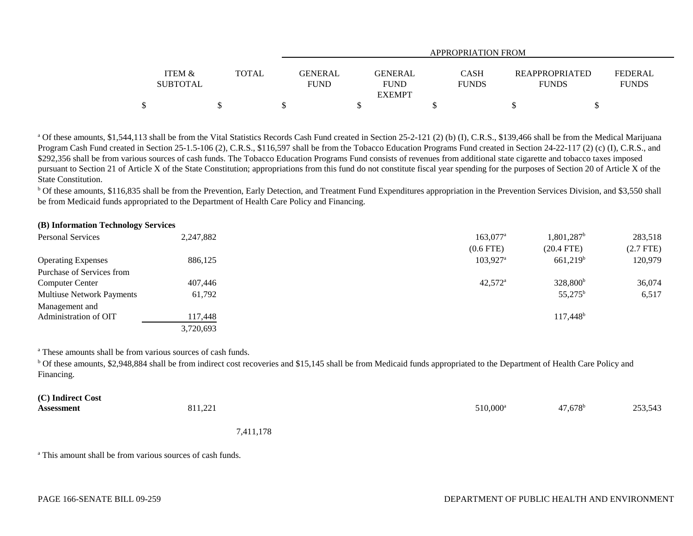|                                      |       | APPROPRIATION FROM            |                                         |                             |                                       |                         |  |
|--------------------------------------|-------|-------------------------------|-----------------------------------------|-----------------------------|---------------------------------------|-------------------------|--|
| <b>ITEM &amp;</b><br><b>SUBTOTAL</b> | TOTAL | <b>GENERAL</b><br><b>FUND</b> | GENERAL<br><b>FUND</b><br><b>EXEMPT</b> | <b>CASH</b><br><b>FUNDS</b> | <b>REAPPROPRIATED</b><br><b>FUNDS</b> | FEDERAL<br><b>FUNDS</b> |  |
|                                      |       |                               |                                         |                             |                                       |                         |  |

<sup>a</sup> Of these amounts, \$1,544,113 shall be from the Vital Statistics Records Cash Fund created in Section 25-2-121 (2) (b) (I), C.R.S., \$139,466 shall be from the Medical Marijuana Program Cash Fund created in Section 25-1.5-106 (2), C.R.S., \$116,597 shall be from the Tobacco Education Programs Fund created in Section 24-22-117 (2) (c) (I), C.R.S., and \$292,356 shall be from various sources of cash funds. The Tobacco Education Programs Fund consists of revenues from additional state cigarette and tobacco taxes imposed pursuant to Section 21 of Article X of the State Constitution; appropriations from this fund do not constitute fiscal year spending for the purposes of Section 20 of Article X of the State Constitution.

**b** Of these amounts, \$116,835 shall be from the Prevention, Early Detection, and Treatment Fund Expenditures appropriation in the Prevention Services Division, and \$3,550 shall be from Medicaid funds appropriated to the Department of Health Care Policy and Financing.

## **(B) Information Technology Services**

| <b>Personal Services</b>         | 2,247,882 | $163,077$ <sup>a</sup> | $1,801,287$ <sup>b</sup> | 283,518     |
|----------------------------------|-----------|------------------------|--------------------------|-------------|
|                                  |           | (0.6 FTE)              | $(20.4$ FTE)             | $(2.7$ FTE) |
| <b>Operating Expenses</b>        | 886,125   | $103,927$ <sup>a</sup> | $661,219$ <sup>b</sup>   | 120,979     |
| Purchase of Services from        |           |                        |                          |             |
| <b>Computer Center</b>           | 407,446   | $42,572^{\rm a}$       | 328,800 <sup>b</sup>     | 36,074      |
| <b>Multiuse Network Payments</b> | 61,792    |                        | $55,275^{\rm b}$         | 6,517       |
| Management and                   |           |                        |                          |             |
| Administration of OIT            | 117,448   |                        | $117,448$ <sup>b</sup>   |             |
|                                  | 3,720,693 |                        |                          |             |

a These amounts shall be from various sources of cash funds.

b Of these amounts, \$2,948,884 shall be from indirect cost recoveries and \$15,145 shall be from Medicaid funds appropriated to the Department of Health Care Policy and Financing.

| (C) Indirect Cost |           |                   |                  |         |
|-------------------|-----------|-------------------|------------------|---------|
| <b>Assessment</b> | 811,221   | $510,000^{\rm a}$ | $47,678^{\rm b}$ | 253,543 |
|                   | 7,411,178 |                   |                  |         |

a This amount shall be from various sources of cash funds.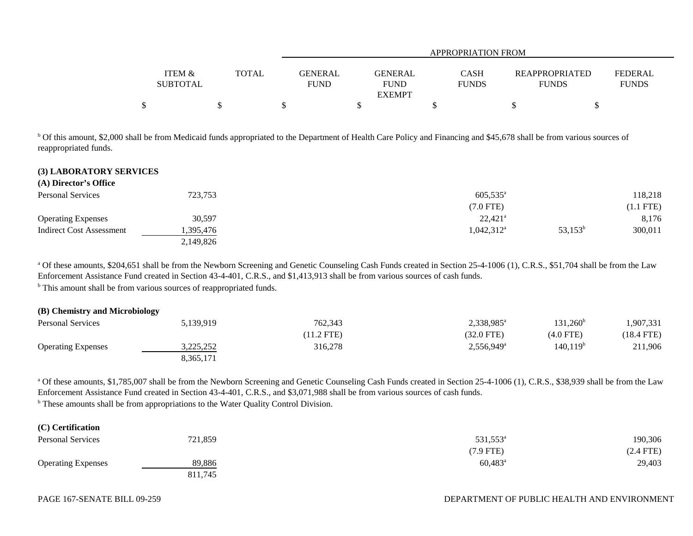| <b>ITEM &amp;</b><br>TOTAL<br><b>CASH</b><br>GENERAL<br><b>REAPPROPRIATED</b><br><b>GENERAL</b> |                                |
|-------------------------------------------------------------------------------------------------|--------------------------------|
| <b>SUBTOTAL</b><br><b>FUND</b><br><b>FUND</b><br><b>FUNDS</b><br><b>FUNDS</b><br><b>EXEMPT</b>  | <b>FEDERAL</b><br><b>FUNDS</b> |
|                                                                                                 |                                |

b Of this amount, \$2,000 shall be from Medicaid funds appropriated to the Department of Health Care Policy and Financing and \$45,678 shall be from various sources of reappropriated funds.

#### **(3) LABORATORY SERVICES**

**(A) Director's Office**

| (A) DIFECTOR S'UTILLE     |           |                       |            |             |
|---------------------------|-----------|-----------------------|------------|-------------|
| <b>Personal Services</b>  | 723,753   | $605,535^{\circ}$     |            | 118,218     |
|                           |           | (7.0 FTE)             |            | $(1.1$ FTE) |
| <b>Operating Expenses</b> | 30,597    | $22,421$ <sup>a</sup> |            | 8,176       |
| Indirect Cost Assessment  | .395,476  | $1,042,312^{\rm a}$   | $53,153^b$ | 300,011     |
|                           | 2,149,826 |                       |            |             |

<sup>a</sup> Of these amounts, \$204,651 shall be from the Newborn Screening and Genetic Counseling Cash Funds created in Section 25-4-1006 (1), C.R.S., \$51,704 shall be from the Law Enforcement Assistance Fund created in Section 43-4-401, C.R.S., and \$1,413,913 shall be from various sources of cash funds.

<sup>b</sup> This amount shall be from various sources of reappropriated funds.

## **(B) Chemistry and Microbiology** Personal Services 2,338,985<sup>a</sup> 131,260<sup>b</sup> 1,907,331 131,260<sup>b</sup> 1,907,331 (11.2 FTE) (32.0 FTE) (4.0 FTE) (18.4 FTE)

| <b>Operating Expenses</b> | 2 775 757<br><i>3.443.434</i> | 316,278 | $2,556,949^{\circ}$ | 140,119 <sup>b</sup> | 211,906 |
|---------------------------|-------------------------------|---------|---------------------|----------------------|---------|
|                           | 8,365,171                     |         |                     |                      |         |
|                           |                               |         |                     |                      |         |

<sup>a</sup> Of these amounts, \$1,785,007 shall be from the Newborn Screening and Genetic Counseling Cash Funds created in Section 25-4-1006 (1), C.R.S., \$38,939 shall be from the Law Enforcement Assistance Fund created in Section 43-4-401, C.R.S., and \$3,071,988 shall be from various sources of cash funds.

<sup>b</sup> These amounts shall be from appropriations to the Water Quality Control Division.

| (C) Certification         |         |                      |             |
|---------------------------|---------|----------------------|-------------|
| Personal Services         | 721,859 | 531,553 <sup>a</sup> | 190,306     |
|                           |         | (7.9 FTE)            | $(2.4$ FTE) |
| <b>Operating Expenses</b> | 89,886  | $60,483^a$           | 29,403      |
|                           | 811,745 |                      |             |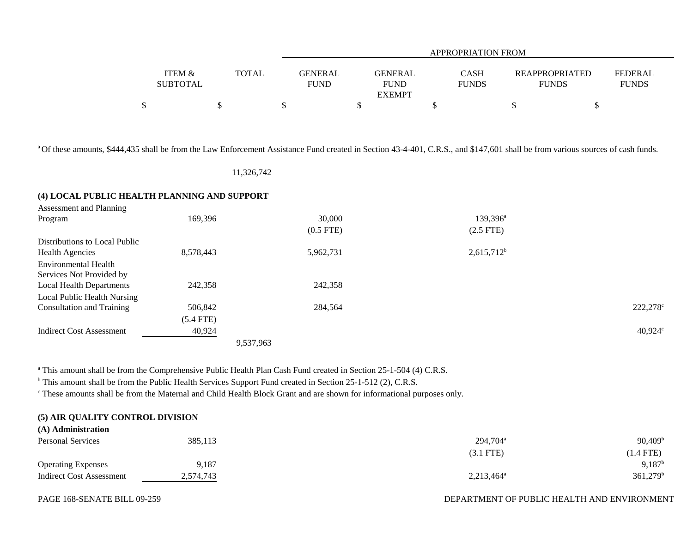|                 |              |                | APPROPRIATION FROM |              |                       |                |  |  |  |
|-----------------|--------------|----------------|--------------------|--------------|-----------------------|----------------|--|--|--|
| ITEM &          | <b>TOTAL</b> | <b>GENERAL</b> | <b>GENERAL</b>     | <b>CASH</b>  | <b>REAPPROPRIATED</b> | <b>FEDERAL</b> |  |  |  |
| <b>SUBTOTAL</b> |              | <b>FUND</b>    | <b>FUND</b>        | <b>FUNDS</b> | <b>FUNDS</b>          | <b>FUNDS</b>   |  |  |  |
|                 |              |                | <b>EXEMPT</b>      |              |                       |                |  |  |  |
|                 |              |                |                    |              |                       |                |  |  |  |

<sup>a</sup> Of these amounts, \$444,435 shall be from the Law Enforcement Assistance Fund created in Section 43-4-401, C.R.S., and \$147,601 shall be from various sources of cash funds.

## 11,326,742

## **(4) LOCAL PUBLIC HEALTH PLANNING AND SUPPORT**

| Assessment and Planning          |             |             |                   |                   |
|----------------------------------|-------------|-------------|-------------------|-------------------|
| Program                          | 169,396     | 30,000      | $139,396^{\rm a}$ |                   |
|                                  |             | $(0.5$ FTE) | $(2.5$ FTE)       |                   |
| Distributions to Local Public    |             |             |                   |                   |
| <b>Health Agencies</b>           | 8,578,443   | 5,962,731   | $2,615,712^b$     |                   |
| Environmental Health             |             |             |                   |                   |
| Services Not Provided by         |             |             |                   |                   |
| <b>Local Health Departments</b>  | 242,358     | 242,358     |                   |                   |
| Local Public Health Nursing      |             |             |                   |                   |
| <b>Consultation and Training</b> | 506,842     | 284,564     |                   | $222,278^{\circ}$ |
|                                  | $(5.4$ FTE) |             |                   |                   |
| <b>Indirect Cost Assessment</b>  | 40,924      |             |                   | $40,924^{\circ}$  |
|                                  |             | 9,537,963   |                   |                   |

<sup>a</sup> This amount shall be from the Comprehensive Public Health Plan Cash Fund created in Section 25-1-504 (4) C.R.S.

<sup>b</sup> This amount shall be from the Public Health Services Support Fund created in Section 25-1-512 (2), C.R.S.

c These amounts shall be from the Maternal and Child Health Block Grant and are shown for informational purposes only.

## **(5) AIR QUALITY CONTROL DIVISION**

| (A) Administration              |           |                     |                    |
|---------------------------------|-----------|---------------------|--------------------|
| <b>Personal Services</b>        | 385,113   | $294,704^{\circ}$   | $90,409^{\rm b}$   |
|                                 |           | (3.1 FTE)           | $(1.4$ FTE)        |
| <b>Operating Expenses</b>       | 9,187     |                     | 9.187 <sup>b</sup> |
| <b>Indirect Cost Assessment</b> | 2,574,743 | $2,213,464^{\circ}$ | $361,279^{\rm b}$  |

#### PAGE 168-SENATE BILL 09-259

#### DEPARTMENT OF PUBLIC HEALTH AND ENVIRONMENT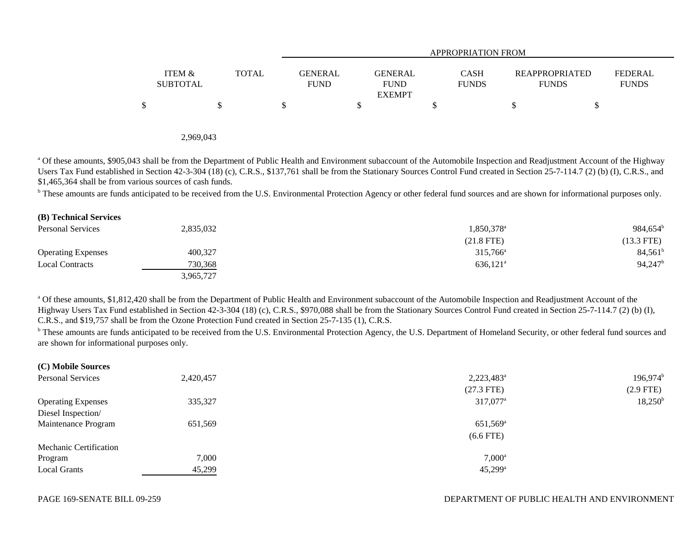|                           |       | APPROPRIATION FROM     |                                                |                             |                                       |                                |  |  |  |
|---------------------------|-------|------------------------|------------------------------------------------|-----------------------------|---------------------------------------|--------------------------------|--|--|--|
| ITEM &<br><b>SUBTOTAL</b> | TOTAL | GENERAL<br><b>FUND</b> | <b>GENERAL</b><br><b>FUND</b><br><b>EXEMPT</b> | <b>CASH</b><br><b>FUNDS</b> | <b>REAPPROPRIATED</b><br><b>FUNDS</b> | <b>FEDERAL</b><br><b>FUNDS</b> |  |  |  |
| \$                        |       |                        |                                                |                             |                                       |                                |  |  |  |

2,969,043

<sup>a</sup> Of these amounts, \$905,043 shall be from the Department of Public Health and Environment subaccount of the Automobile Inspection and Readjustment Account of the Highway Users Tax Fund established in Section 42-3-304 (18) (c), C.R.S., \$137,761 shall be from the Stationary Sources Control Fund created in Section 25-7-114.7 (2) (b) (I), C.R.S., and \$1,465,364 shall be from various sources of cash funds.

<sup>b</sup> These amounts are funds anticipated to be received from the U.S. Environmental Protection Agency or other federal fund sources and are shown for informational purposes only.

| (B) Technical Services    |           |                        |                  |
|---------------------------|-----------|------------------------|------------------|
| <b>Personal Services</b>  | 2,835,032 | 1,850,378 <sup>a</sup> | $984,654^b$      |
|                           |           | $(21.8$ FTE)           | $(13.3$ FTE)     |
| <b>Operating Expenses</b> | 400,327   | $315,766^{\circ}$      | $84,561^{\rm b}$ |
| <b>Local Contracts</b>    | 730,368   | $636,121$ <sup>a</sup> | 94,247           |
|                           | 3,965,727 |                        |                  |

<sup>a</sup> Of these amounts, \$1,812,420 shall be from the Department of Public Health and Environment subaccount of the Automobile Inspection and Readjustment Account of the Highway Users Tax Fund established in Section 42-3-304 (18) (c), C.R.S., \$970,088 shall be from the Stationary Sources Control Fund created in Section 25-7-114.7 (2) (b) (I), C.R.S., and \$19,757 shall be from the Ozone Protection Fund created in Section 25-7-135 (1), C.R.S.

<sup>b</sup> These amounts are funds anticipated to be received from the U.S. Environmental Protection Agency, the U.S. Department of Homeland Security, or other federal fund sources and are shown for informational purposes only.

| (C) Mobile Sources        |           |                        |                  |
|---------------------------|-----------|------------------------|------------------|
| <b>Personal Services</b>  | 2,420,457 | 2,223,483 <sup>a</sup> | $196,974^b$      |
|                           |           | $(27.3$ FTE)           | $(2.9$ FTE)      |
| <b>Operating Expenses</b> | 335,327   | 317,077 <sup>a</sup>   | $18,250^{\rm b}$ |
| Diesel Inspection/        |           |                        |                  |
| Maintenance Program       | 651,569   | $651,569^{\rm a}$      |                  |
|                           |           | $(6.6$ FTE)            |                  |
| Mechanic Certification    |           |                        |                  |
| Program                   | 7,000     | $7,000^{\circ}$        |                  |
| <b>Local Grants</b>       | 45,299    | $45,299^{\rm a}$       |                  |
|                           |           |                        |                  |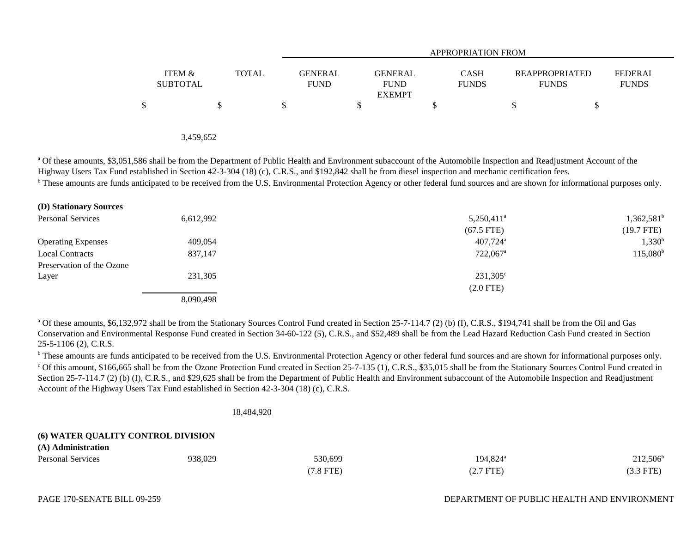|                           |              |                               | APPROPRIATION FROM                             |                             |                                       |                                |  |  |  |  |
|---------------------------|--------------|-------------------------------|------------------------------------------------|-----------------------------|---------------------------------------|--------------------------------|--|--|--|--|
| ITEM &<br><b>SUBTOTAL</b> | <b>TOTAL</b> | <b>GENERAL</b><br><b>FUND</b> | <b>GENERAL</b><br><b>FUND</b><br><b>EXEMPT</b> | <b>CASH</b><br><b>FUNDS</b> | <b>REAPPROPRIATED</b><br><b>FUNDS</b> | <b>FEDERAL</b><br><b>FUNDS</b> |  |  |  |  |
|                           |              |                               |                                                | \$                          |                                       |                                |  |  |  |  |
|                           |              |                               |                                                |                             |                                       |                                |  |  |  |  |

3,459,652

<sup>a</sup> Of these amounts, \$3,051,586 shall be from the Department of Public Health and Environment subaccount of the Automobile Inspection and Readjustment Account of the Highway Users Tax Fund established in Section 42-3-304 (18) (c), C.R.S., and \$192,842 shall be from diesel inspection and mechanic certification fees.

<sup>b</sup> These amounts are funds anticipated to be received from the U.S. Environmental Protection Agency or other federal fund sources and are shown for informational purposes only.

| <b>(D) Stationary Sources</b> |           |                          |                     |
|-------------------------------|-----------|--------------------------|---------------------|
| <b>Personal Services</b>      | 6,612,992 | $5,250,411$ <sup>a</sup> | $1,362,581^{\rm b}$ |
|                               |           | $(67.5$ FTE)             | $(19.7$ FTE)        |
| <b>Operating Expenses</b>     | 409,054   | $407,724$ <sup>a</sup>   | $1,330^{\rm b}$     |
| <b>Local Contracts</b>        | 837,147   | $722,067$ <sup>a</sup>   | $115,080^{\rm b}$   |
| Preservation of the Ozone     |           |                          |                     |
| Layer                         | 231,305   | $231,305^{\circ}$        |                     |
|                               |           | $(2.0$ FTE)              |                     |
|                               | 8,090,498 |                          |                     |

<sup>a</sup> Of these amounts, \$6,132,972 shall be from the Stationary Sources Control Fund created in Section 25-7-114.7 (2) (b) (I), C.R.S., \$194,741 shall be from the Oil and Gas Conservation and Environmental Response Fund created in Section 34-60-122 (5), C.R.S., and \$52,489 shall be from the Lead Hazard Reduction Cash Fund created in Section 25-5-1106 (2), C.R.S.

<sup>b</sup> These amounts are funds anticipated to be received from the U.S. Environmental Protection Agency or other federal fund sources and are shown for informational purposes only. <sup>c</sup> Of this amount, \$166,665 shall be from the Ozone Protection Fund created in Section 25-7-135 (1), C.R.S., \$35,015 shall be from the Stationary Sources Control Fund created in Section 25-7-114.7 (2) (b) (I), C.R.S., and \$29,625 shall be from the Department of Public Health and Environment subaccount of the Automobile Inspection and Readjustment Account of the Highway Users Tax Fund established in Section 42-3-304 (18) (c), C.R.S.

18,484,920

#### **(6) WATER QUALITY CONTROL DIVISION**

| $(12)$ $120$ management $(21)$ |         |          |                      |             |
|--------------------------------|---------|----------|----------------------|-------------|
| <b>Personal Services</b>       | 938,029 | 530,699  | 194,824 <sup>a</sup> | $212,506^b$ |
|                                |         | 7.8 FTE) | $(2.7$ FTE $)$       | $(3.3$ FTE) |

**(A) Administration**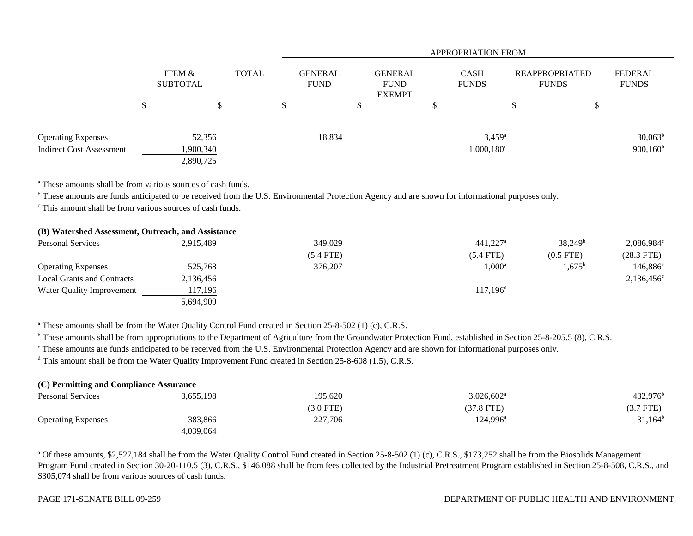|                                 |                               |              | <b>APPROPRIATION FROM</b>     |  |                                                |   |                             |     |                                |                         |
|---------------------------------|-------------------------------|--------------|-------------------------------|--|------------------------------------------------|---|-----------------------------|-----|--------------------------------|-------------------------|
|                                 | <b>ITEM &amp;</b><br>SUBTOTAL | <b>TOTAL</b> | <b>GENERAL</b><br><b>FUND</b> |  | <b>GENERAL</b><br><b>FUND</b><br><b>EXEMPT</b> |   | <b>CASH</b><br><b>FUNDS</b> |     | REAPPROPRIATED<br><b>FUNDS</b> | FEDERAL<br><b>FUNDS</b> |
|                                 | \$                            |              | \$                            |  |                                                | ◡ |                             | AD. |                                |                         |
| <b>Operating Expenses</b>       | 52,356                        |              | 18,834                        |  |                                                |   | $3,459^{\rm a}$             |     |                                | $30,063^b$              |
| <b>Indirect Cost Assessment</b> | 1,900,340                     |              |                               |  |                                                |   | $1,000,180^{\circ}$         |     |                                | $900,160^{\rm b}$       |
|                                 | 2,890,725                     |              |                               |  |                                                |   |                             |     |                                |                         |

<sup>a</sup> These amounts shall be from various sources of cash funds.

<sup>b</sup> These amounts are funds anticipated to be received from the U.S. Environmental Protection Agency and are shown for informational purposes only.

c This amount shall be from various sources of cash funds.

| (B) Watershed Assessment, Outreach, and Assistance |           |             |                        |                  |                          |
|----------------------------------------------------|-----------|-------------|------------------------|------------------|--------------------------|
| Personal Services                                  | 2.915.489 | 349,029     | $441.227$ <sup>a</sup> | $38,249^{\rm b}$ | $2,086,984^{\circ}$      |
|                                                    |           | $(5.4$ FTE) | $(5.4$ FTE)            | $(0.5$ FTE)      | $(28.3$ FTE)             |
| <b>Operating Expenses</b>                          | 525,768   | 376,207     | $1,000^{\circ}$        | $1,675^{\rm b}$  | $146,886^{\circ}$        |
| <b>Local Grants and Contracts</b>                  | 2,136,456 |             |                        |                  | $2,136,456$ <sup>c</sup> |
| Water Quality Improvement                          | 117,196   |             | $117,196$ <sup>d</sup> |                  |                          |
|                                                    | 5,694,909 |             |                        |                  |                          |

<sup>a</sup> These amounts shall be from the Water Quality Control Fund created in Section 25-8-502 (1) (c), C.R.S.

<sup>b</sup> These amounts shall be from appropriations to the Department of Agriculture from the Groundwater Protection Fund, established in Section 25-8-205.5 (8), C.R.S.

<sup>c</sup> These amounts are funds anticipated to be received from the U.S. Environmental Protection Agency and are shown for informational purposes only.

<sup>d</sup> This amount shall be from the Water Quality Improvement Fund created in Section 25-8-608 (1.5), C.R.S.

| (C) Permitting and Compliance Assurance |           |           |                     |                   |
|-----------------------------------------|-----------|-----------|---------------------|-------------------|
| <b>Personal Services</b>                | 3,655,198 | 195.620   | $3,026,602^{\circ}$ | $432,976^{\rm b}$ |
|                                         |           | (3.0 FTE) | $(37.8$ FTE)        | (3.7 FTE)         |
| <b>Operating Expenses</b>               | 383,866   | 227,706   | 124,996ª            | $31,164^b$        |
|                                         | 4,039,064 |           |                     |                   |

<sup>a</sup> Of these amounts, \$2,527,184 shall be from the Water Quality Control Fund created in Section 25-8-502 (1) (c), C.R.S., \$173,252 shall be from the Biosolids Management Program Fund created in Section 30-20-110.5 (3), C.R.S., \$146,088 shall be from fees collected by the Industrial Pretreatment Program established in Section 25-8-508, C.R.S., and \$305,074 shall be from various sources of cash funds.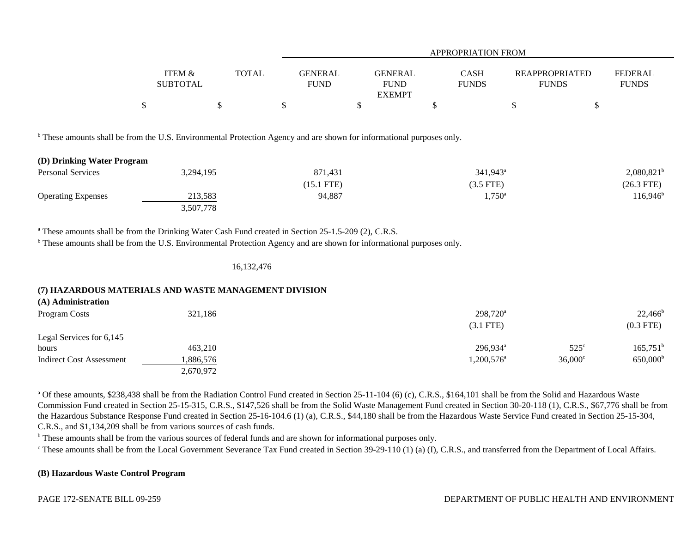|                                                                                                                                                   |                           |              |                               | <b>APPROPRIATION FROM</b>                      |                             |                                       |                                |  |  |  |  |
|---------------------------------------------------------------------------------------------------------------------------------------------------|---------------------------|--------------|-------------------------------|------------------------------------------------|-----------------------------|---------------------------------------|--------------------------------|--|--|--|--|
|                                                                                                                                                   | ITEM &<br><b>SUBTOTAL</b> | <b>TOTAL</b> | <b>GENERAL</b><br><b>FUND</b> | <b>GENERAL</b><br><b>FUND</b><br><b>EXEMPT</b> | <b>CASH</b><br><b>FUNDS</b> | <b>REAPPROPRIATED</b><br><b>FUNDS</b> | <b>FEDERAL</b><br><b>FUNDS</b> |  |  |  |  |
|                                                                                                                                                   | \$                        | \$           | \$                            | \$                                             | \$                          | \$                                    | \$                             |  |  |  |  |
| These amounts shall be from the U.S. Environmental Protection Agency and are shown for informational purposes only.<br>(D) Drinking Water Program |                           |              |                               |                                                |                             |                                       |                                |  |  |  |  |
| Personal Services                                                                                                                                 | 3,294,195                 |              | 871,431                       |                                                | $341,943^{\circ}$           |                                       | $2,080,821^b$                  |  |  |  |  |
|                                                                                                                                                   |                           |              | $(15.1$ FTE)                  |                                                | $(3.5$ FTE)                 |                                       | $(26.3$ FTE)                   |  |  |  |  |
| <b>Operating Expenses</b>                                                                                                                         | 213,583                   |              | 94,887                        |                                                | $1,750^{\circ}$             |                                       | $116,946^b$                    |  |  |  |  |
|                                                                                                                                                   | 3,507,778                 |              |                               |                                                |                             |                                       |                                |  |  |  |  |

<sup>a</sup> These amounts shall be from the Drinking Water Cash Fund created in Section 25-1.5-209 (2), C.R.S.

<sup>b</sup> These amounts shall be from the U.S. Environmental Protection Agency and are shown for informational purposes only.

16,132,476

#### **(7) HAZARDOUS MATERIALS AND WASTE MANAGEMENT DIVISION**

| (A) Administration              |           |                        |                  |                   |
|---------------------------------|-----------|------------------------|------------------|-------------------|
| Program Costs                   | 321,186   | $298,720^a$            |                  | $22,466^{\rm b}$  |
|                                 |           | $(3.1$ FTE)            |                  | $(0.3$ FTE)       |
| Legal Services for 6,145        |           |                        |                  |                   |
| hours                           | 463,210   | $296,934$ <sup>a</sup> | $525^{\circ}$    | $165,751^{\rm b}$ |
| <b>Indirect Cost Assessment</b> | 1,886,576 | $1,200,576^{\circ}$    | $36,000^{\circ}$ | $650,000^{\rm b}$ |
|                                 | 2,670,972 |                        |                  |                   |

<sup>a</sup> Of these amounts, \$238,438 shall be from the Radiation Control Fund created in Section 25-11-104 (6) (c), C.R.S., \$164,101 shall be from the Solid and Hazardous Waste Commission Fund created in Section 25-15-315, C.R.S., \$147,526 shall be from the Solid Waste Management Fund created in Section 30-20-118 (1), C.R.S., \$67,776 shall be from the Hazardous Substance Response Fund created in Section 25-16-104.6 (1) (a), C.R.S., \$44,180 shall be from the Hazardous Waste Service Fund created in Section 25-15-304, C.R.S., and \$1,134,209 shall be from various sources of cash funds.

<sup>b</sup> These amounts shall be from the various sources of federal funds and are shown for informational purposes only.

 $\degree$  These amounts shall be from the Local Government Severance Tax Fund created in Section 39-29-110 (1) (a) (I), C.R.S., and transferred from the Department of Local Affairs.

#### **(B) Hazardous Waste Control Program**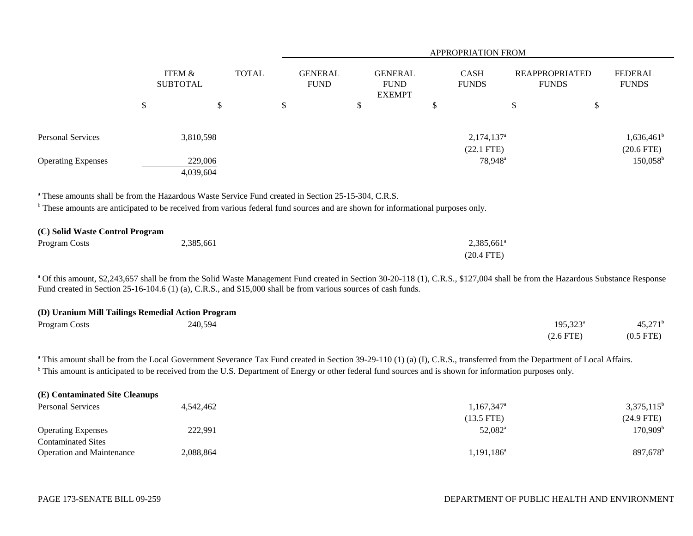|                                                                                                                                                                                                                                                              |                                      |              |                               |   |                                                |   | APPROPRIATION FROM                  |                                       |                                   |
|--------------------------------------------------------------------------------------------------------------------------------------------------------------------------------------------------------------------------------------------------------------|--------------------------------------|--------------|-------------------------------|---|------------------------------------------------|---|-------------------------------------|---------------------------------------|-----------------------------------|
|                                                                                                                                                                                                                                                              | <b>ITEM &amp;</b><br><b>SUBTOTAL</b> | <b>TOTAL</b> | <b>GENERAL</b><br><b>FUND</b> |   | <b>GENERAL</b><br><b>FUND</b><br><b>EXEMPT</b> |   | <b>CASH</b><br><b>FUNDS</b>         | <b>REAPPROPRIATED</b><br><b>FUNDS</b> | <b>FEDERAL</b><br><b>FUNDS</b>    |
|                                                                                                                                                                                                                                                              | \$<br>\$                             |              | \$                            | D |                                                | J |                                     | \$<br>\$                              |                                   |
| Personal Services                                                                                                                                                                                                                                            | 3,810,598                            |              |                               |   |                                                |   | $2,174,137$ <sup>a</sup>            |                                       | $1,636,461^b$                     |
| <b>Operating Expenses</b>                                                                                                                                                                                                                                    | 229,006<br>4,039,604                 |              |                               |   |                                                |   | $(22.1$ FTE)<br>78,948 <sup>a</sup> |                                       | $(20.6$ FTE)<br>$150,058^{\rm b}$ |
| <sup>a</sup> These amounts shall be from the Hazardous Waste Service Fund created in Section 25-15-304, C.R.S.<br><sup>b</sup> These amounts are anticipated to be received from various federal fund sources and are shown for informational purposes only. |                                      |              |                               |   |                                                |   |                                     |                                       |                                   |

#### **(C) Solid Waste Control Program**

| Program Costs | 2,385,661 | 2,385,661 <sup>a</sup> |
|---------------|-----------|------------------------|
|               |           | $(20.4$ FTE)           |

<sup>a</sup> Of this amount, \$2,243,657 shall be from the Solid Waste Management Fund created in Section 30-20-118 (1), C.R.S., \$127,004 shall be from the Hazardous Substance Response Fund created in Section 25-16-104.6 (1) (a), C.R.S., and \$15,000 shall be from various sources of cash funds.

## **(D) Uranium Mill Tailings Remedial Action Program**

| Program Costs | 240,594 | $195,323^{\circ}$ | 15 271 <sup>b</sup><br>45.21 |
|---------------|---------|-------------------|------------------------------|
|               |         | $(2.6$ FTE)       | $(0.5$ FTE)                  |

<sup>a</sup> This amount shall be from the Local Government Severance Tax Fund created in Section 39-29-110 (1) (a) (I), C.R.S., transferred from the Department of Local Affairs. <sup>b</sup> This amount is anticipated to be received from the U.S. Department of Energy or other federal fund sources and is shown for information purposes only.

| (E) Contaminated Site Cleanups   |           |                          |                      |
|----------------------------------|-----------|--------------------------|----------------------|
| <b>Personal Services</b>         | 4.542.462 | $1,167,347$ <sup>a</sup> | $3,375,115^b$        |
|                                  |           | $(13.5$ FTE)             | $(24.9$ FTE)         |
| <b>Operating Expenses</b>        | 222,991   | 52,082 <sup>a</sup>      | $170,909^{\rm b}$    |
| <b>Contaminated Sites</b>        |           |                          |                      |
| <b>Operation and Maintenance</b> | 2,088,864 | 1,191,186 <sup>a</sup>   | 897,678 <sup>b</sup> |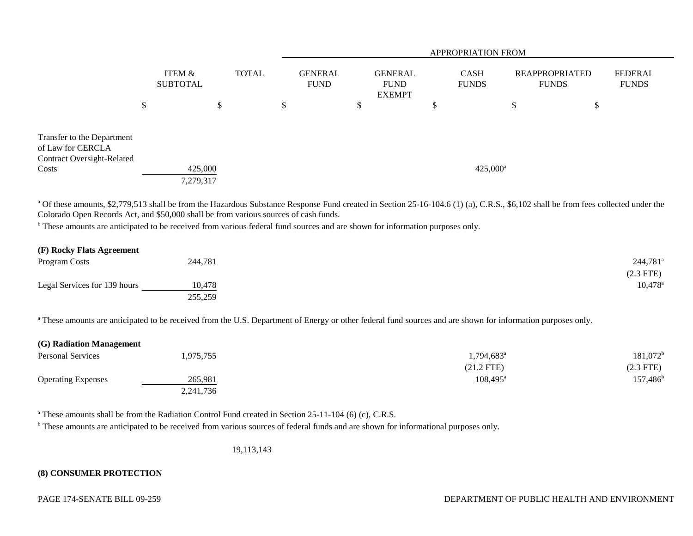|                                                                                      |                           |                      |              | <b>APPROPRIATION FROM</b>     |                                                |   |                             |                                |                                |  |  |
|--------------------------------------------------------------------------------------|---------------------------|----------------------|--------------|-------------------------------|------------------------------------------------|---|-----------------------------|--------------------------------|--------------------------------|--|--|
|                                                                                      | ITEM &<br><b>SUBTOTAL</b> |                      | <b>TOTAL</b> | <b>GENERAL</b><br><b>FUND</b> | <b>GENERAL</b><br><b>FUND</b><br><b>EXEMPT</b> |   | <b>CASH</b><br><b>FUNDS</b> | REAPPROPRIATED<br><b>FUNDS</b> | <b>FEDERAL</b><br><b>FUNDS</b> |  |  |
|                                                                                      | \$                        | \$                   | \$           |                               | \$                                             | D | \$                          | \$                             |                                |  |  |
| Transfer to the Department<br>of Law for CERCLA<br><b>Contract Oversight-Related</b> |                           |                      |              |                               |                                                |   |                             |                                |                                |  |  |
| Costs                                                                                |                           | 425,000<br>7,279,317 |              |                               |                                                |   | $425,000^{\circ}$           |                                |                                |  |  |

<sup>a</sup> Of these amounts, \$2,779,513 shall be from the Hazardous Substance Response Fund created in Section 25-16-104.6 (1) (a), C.R.S., \$6,102 shall be from fees collected under the Colorado Open Records Act, and \$50,000 shall be from various sources of cash funds.

<sup>b</sup> These amounts are anticipated to be received from various federal fund sources and are shown for information purposes only.

| (F) Rocky Flats Agreement    |         |                        |
|------------------------------|---------|------------------------|
| Program Costs                | 244,781 | $244,781$ <sup>a</sup> |
|                              |         | $(2.3$ FTE $)$         |
| Legal Services for 139 hours | 10.478  | $10,478^{\circ}$       |
|                              | 255,259 |                        |

<sup>a</sup> These amounts are anticipated to be received from the U.S. Department of Energy or other federal fund sources and are shown for information purposes only.

| (G) Radiation Management  |           |                        |                   |
|---------------------------|-----------|------------------------|-------------------|
| <b>Personal Services</b>  | ,975,755  | 1,794,683 <sup>a</sup> | $181,072^b$       |
|                           |           | $(21.2$ FTE)           | (2.3 FTE)         |
| <b>Operating Expenses</b> | 265.981   | $108.495^{\circ}$      | $157,486^{\rm b}$ |
|                           | 2,241,736 |                        |                   |

<sup>a</sup> These amounts shall be from the Radiation Control Fund created in Section 25-11-104 (6) (c), C.R.S.

<sup>b</sup> These amounts are anticipated to be received from various sources of federal funds and are shown for informational purposes only.

19,113,143

#### **(8) CONSUMER PROTECTION**

#### PAGE 174-SENATE BILL 09-259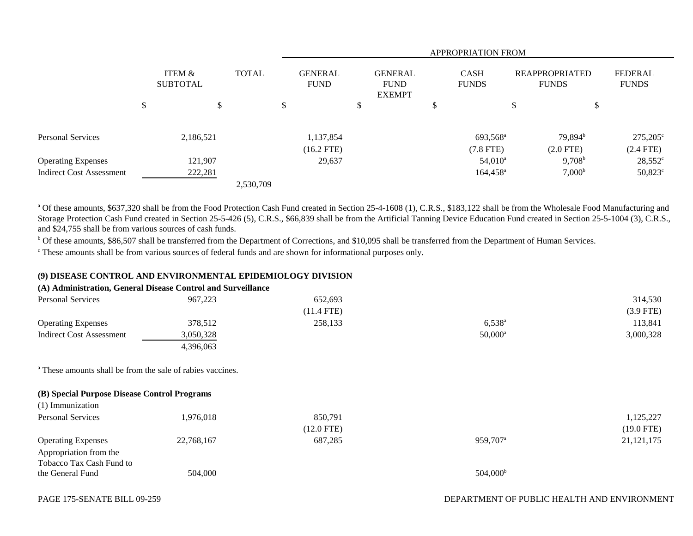|                                 |                           |           |               |              | <b>APPROPRIATION FROM</b>     |    |                                                |  |                             |    |                                       |                                |
|---------------------------------|---------------------------|-----------|---------------|--------------|-------------------------------|----|------------------------------------------------|--|-----------------------------|----|---------------------------------------|--------------------------------|
|                                 | ITEM &<br><b>SUBTOTAL</b> |           |               | <b>TOTAL</b> | <b>GENERAL</b><br><b>FUND</b> |    | <b>GENERAL</b><br><b>FUND</b><br><b>EXEMPT</b> |  | <b>CASH</b><br><b>FUNDS</b> |    | <b>REAPPROPRIATED</b><br><b>FUNDS</b> | <b>FEDERAL</b><br><b>FUNDS</b> |
|                                 | \$                        |           | <sup>\$</sup> |              | \$                            | ۰D |                                                |  |                             | \$ | \$                                    |                                |
| <b>Personal Services</b>        |                           | 2,186,521 |               |              | 1,137,854                     |    |                                                |  | 693,568 <sup>a</sup>        |    | 79,894 <sup>b</sup>                   | $275,205^{\circ}$              |
|                                 |                           |           |               |              | $(16.2$ FTE)                  |    |                                                |  | $(7.8$ FTE)                 |    | $(2.0$ FTE)                           | $(2.4$ FTE)                    |
| <b>Operating Expenses</b>       |                           | 121,907   |               |              | 29,637                        |    |                                                |  | $54,010^{\rm a}$            |    | $9,708^{\rm b}$                       | $28,552^{\circ}$               |
| <b>Indirect Cost Assessment</b> |                           | 222,281   |               |              |                               |    |                                                |  | $164,458^{\circ}$           |    | $7,000^{\rm b}$                       | $50,823^{\circ}$               |
|                                 |                           |           |               | 2,530,709    |                               |    |                                                |  |                             |    |                                       |                                |

<sup>a</sup> Of these amounts, \$637,320 shall be from the Food Protection Cash Fund created in Section 25-4-1608 (1), C.R.S., \$183,122 shall be from the Wholesale Food Manufacturing and Storage Protection Cash Fund created in Section 25-5-426 (5), C.R.S., \$66,839 shall be from the Artificial Tanning Device Education Fund created in Section 25-5-1004 (3), C.R.S., and \$24,755 shall be from various sources of cash funds.

b Of these amounts, \$86,507 shall be transferred from the Department of Corrections, and \$10,095 shall be transferred from the Department of Human Services.

c These amounts shall be from various sources of federal funds and are shown for informational purposes only.

#### **(9) DISEASE CONTROL AND ENVIRONMENTAL EPIDEMIOLOGY DIVISION**

## **(A) Administration, General Disease Control and Surveillance**

| <b>Personal Services</b>  | 967,223   | 652,693      |                 | 314,530   |
|---------------------------|-----------|--------------|-----------------|-----------|
|                           |           | $(11.4$ FTE) |                 | (3.9 FTE) |
| <b>Operating Expenses</b> | 378,512   | 258,133      | $6,538^{\circ}$ | 113,841   |
| Indirect Cost Assessment  | 3,050,328 |              | $50,000^a$      | 3,000,328 |
|                           | 4.396.063 |              |                 |           |

<sup>a</sup> These amounts shall be from the sale of rabies vaccines.

## **(B) Special Purpose Disease Control Programs**

| 1,976,018  | 850,791      |                      | 1,125,227    |
|------------|--------------|----------------------|--------------|
|            | $(12.0$ FTE) |                      | $(19.0$ FTE) |
| 22,768,167 | 687,285      | 959,707 <sup>a</sup> | 21, 121, 175 |
|            |              |                      |              |
|            |              |                      |              |
| 504,000    |              | $504,000^{\rm b}$    |              |
|            |              |                      |              |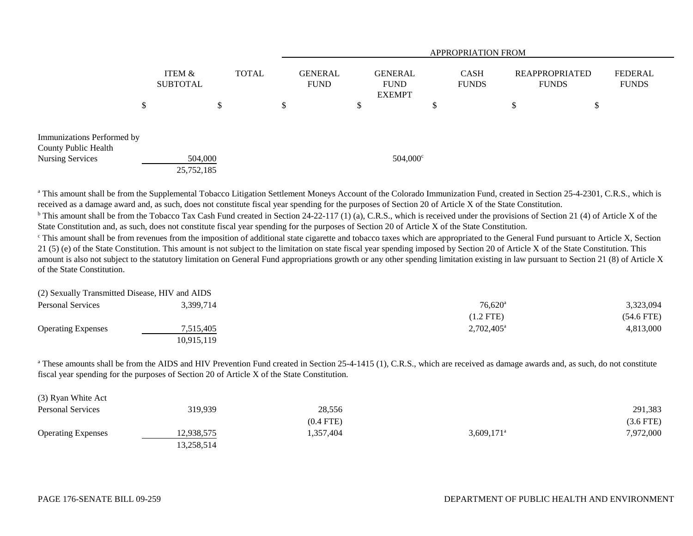|                            |                           |       |                        | <b>APPROPRIATION FROM</b>                      |                             |                                       |                                |  |
|----------------------------|---------------------------|-------|------------------------|------------------------------------------------|-----------------------------|---------------------------------------|--------------------------------|--|
|                            | ITEM &<br><b>SUBTOTAL</b> | TOTAL | GENERAL<br><b>FUND</b> | <b>GENERAL</b><br><b>FUND</b><br><b>EXEMPT</b> | <b>CASH</b><br><b>FUNDS</b> | <b>REAPPROPRIATED</b><br><b>FUNDS</b> | <b>FEDERAL</b><br><b>FUNDS</b> |  |
| \$                         |                           | \$    | \$                     |                                                |                             | ¢<br>P<br>$\mathcal{D}$               |                                |  |
| Immunizations Performed by |                           |       |                        |                                                |                             |                                       |                                |  |
| County Public Health       |                           |       |                        |                                                |                             |                                       |                                |  |
| Nursing Services           | 504,000                   |       |                        | $504,000^{\circ}$                              |                             |                                       |                                |  |
|                            | 25,752,185                |       |                        |                                                |                             |                                       |                                |  |

<sup>a</sup> This amount shall be from the Supplemental Tobacco Litigation Settlement Moneys Account of the Colorado Immunization Fund, created in Section 25-4-2301, C.R.S., which is received as a damage award and, as such, does not constitute fiscal year spending for the purposes of Section 20 of Article X of the State Constitution.

<sup>b</sup> This amount shall be from the Tobacco Tax Cash Fund created in Section 24-22-117 (1) (a), C.R.S., which is received under the provisions of Section 21 (4) of Article X of the State Constitution and, as such, does not constitute fiscal year spending for the purposes of Section 20 of Article X of the State Constitution.

<sup>c</sup> This amount shall be from revenues from the imposition of additional state cigarette and tobacco taxes which are appropriated to the General Fund pursuant to Article X, Section 21 (5) (e) of the State Constitution. This amount is not subject to the limitation on state fiscal year spending imposed by Section 20 of Article X of the State Constitution. This amount is also not subject to the statutory limitation on General Fund appropriations growth or any other spending limitation existing in law pursuant to Section 21 (8) of Article X of the State Constitution.

| (2) Sexually Transmitted Disease, HIV and AIDS |            |                       |              |
|------------------------------------------------|------------|-----------------------|--------------|
| <b>Personal Services</b>                       | 3.399.714  | $76.620$ <sup>a</sup> | 3,323,094    |
|                                                |            | (1.2 FTE)             | $(54.6$ FTE) |
| <b>Operating Expenses</b>                      | 7,515,405  | $2,702,405^{\circ}$   | 4,813,000    |
|                                                | 10.915.119 |                       |              |

<sup>a</sup> These amounts shall be from the AIDS and HIV Prevention Fund created in Section 25-4-1415 (1), C.R.S., which are received as damage awards and, as such, do not constitute fiscal year spending for the purposes of Section 20 of Article X of the State Constitution.

| (3) Ryan White Act        |            |             |                          |             |
|---------------------------|------------|-------------|--------------------------|-------------|
| <b>Personal Services</b>  | 319,939    | 28,556      |                          | 291,383     |
|                           |            | $(0.4$ FTE) |                          | $(3.6$ FTE) |
| <b>Operating Expenses</b> | 12,938,575 | .357,404    | $3,609,171$ <sup>a</sup> | 7,972,000   |
|                           | 13,258,514 |             |                          |             |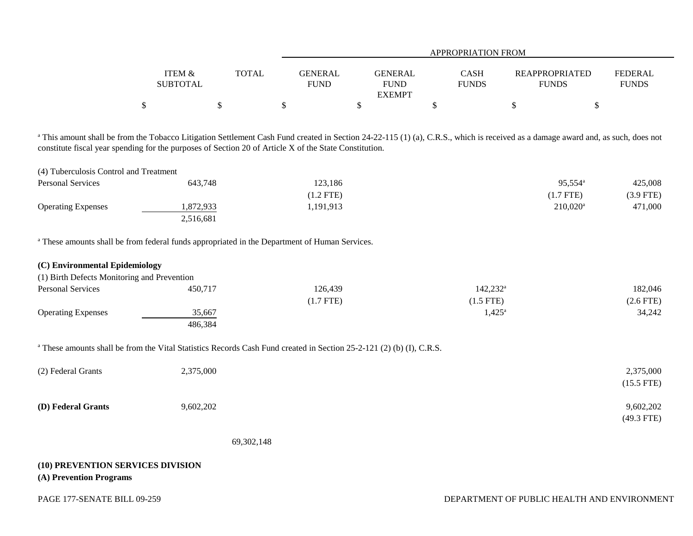|                   |       |             | APPROPRIATION FROM |              |                       |                |  |  |  |  |
|-------------------|-------|-------------|--------------------|--------------|-----------------------|----------------|--|--|--|--|
|                   |       |             |                    |              |                       |                |  |  |  |  |
| <b>ITEM &amp;</b> | TOTAL | GENERAL     | <b>GENERAL</b>     | CASH         | <b>REAPPROPRIATED</b> | <b>FEDERAL</b> |  |  |  |  |
| <b>SUBTOTAL</b>   |       | <b>FUND</b> | <b>FUND</b>        | <b>FUNDS</b> | <b>FUNDS</b>          | <b>FUNDS</b>   |  |  |  |  |
|                   |       |             | <b>EXEMPT</b>      |              |                       |                |  |  |  |  |
|                   |       |             |                    |              |                       |                |  |  |  |  |

<sup>a</sup> This amount shall be from the Tobacco Litigation Settlement Cash Fund created in Section 24-22-115 (1) (a), C.R.S., which is received as a damage award and, as such, does not constitute fiscal year spending for the purposes of Section 20 of Article X of the State Constitution.

| (4) Tuberculosis Control and Treatment |           |           |                        |           |
|----------------------------------------|-----------|-----------|------------------------|-----------|
| <b>Personal Services</b>               | 643.748   | 123,186   | $95,554^{\circ}$       | 425,008   |
|                                        |           | (1.2 FTE) | (1.7 FTE)              | (3.9 FTE) |
| <b>Operating Expenses</b>              | ,872,933  | .191,913  | $210.020$ <sup>a</sup> | 471,000   |
|                                        | 2,516,681 |           |                        |           |

a These amounts shall be from federal funds appropriated in the Department of Human Services.

| (C) Environmental Epidemiology              |         |             |                   |             |
|---------------------------------------------|---------|-------------|-------------------|-------------|
| (1) Birth Defects Monitoring and Prevention |         |             |                   |             |
| <b>Personal Services</b>                    | 450,717 | 126,439     | $142,232^{\rm a}$ | 182,046     |
|                                             |         | $(1.7$ FTE) | (1.5 FTE)         | $(2.6$ FTE) |
| <b>Operating Expenses</b>                   | 35,667  |             | $1,425^{\circ}$   | 34,242      |
|                                             | 486,384 |             |                   |             |

<sup>a</sup> These amounts shall be from the Vital Statistics Records Cash Fund created in Section 25-2-121 (2) (b) (I), C.R.S.

| (2) Federal Grants | 2,375,000 | 2,375,000    |
|--------------------|-----------|--------------|
|                    |           | $(15.5$ FTE) |
| (D) Federal Grants | 9,602,202 | 9,602,202    |
|                    |           | $(49.3$ FTE) |

69,302,148

## **(10) PREVENTION SERVICES DIVISION (A) Prevention Programs**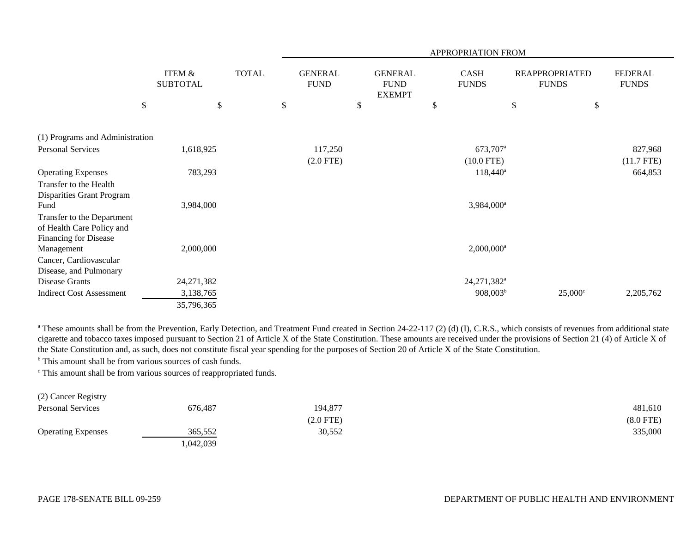|                                 |                                      |              |                               |                                                | APPROPRIATION FROM          |                                       |                  |                                |
|---------------------------------|--------------------------------------|--------------|-------------------------------|------------------------------------------------|-----------------------------|---------------------------------------|------------------|--------------------------------|
|                                 | <b>ITEM &amp;</b><br><b>SUBTOTAL</b> | <b>TOTAL</b> | <b>GENERAL</b><br><b>FUND</b> | <b>GENERAL</b><br><b>FUND</b><br><b>EXEMPT</b> | <b>CASH</b><br><b>FUNDS</b> | <b>REAPPROPRIATED</b><br><b>FUNDS</b> |                  | <b>FEDERAL</b><br><b>FUNDS</b> |
| $\boldsymbol{\mathsf{S}}$       |                                      | \$           | \$                            | \$                                             | \$                          | \$                                    | \$               |                                |
|                                 |                                      |              |                               |                                                |                             |                                       |                  |                                |
| (1) Programs and Administration |                                      |              |                               |                                                |                             |                                       |                  |                                |
| <b>Personal Services</b>        | 1,618,925                            |              | 117,250                       |                                                | 673,707 <sup>a</sup>        |                                       |                  | 827,968                        |
|                                 |                                      |              | $(2.0$ FTE)                   |                                                | $(10.0$ FTE)                |                                       |                  | $(11.7$ FTE)                   |
| <b>Operating Expenses</b>       | 783,293                              |              |                               |                                                | $118,440^a$                 |                                       |                  | 664,853                        |
| Transfer to the Health          |                                      |              |                               |                                                |                             |                                       |                  |                                |
| Disparities Grant Program       |                                      |              |                               |                                                |                             |                                       |                  |                                |
| Fund                            | 3,984,000                            |              |                               |                                                | 3,984,000 <sup>a</sup>      |                                       |                  |                                |
| Transfer to the Department      |                                      |              |                               |                                                |                             |                                       |                  |                                |
| of Health Care Policy and       |                                      |              |                               |                                                |                             |                                       |                  |                                |
| <b>Financing for Disease</b>    |                                      |              |                               |                                                |                             |                                       |                  |                                |
| Management                      | 2,000,000                            |              |                               |                                                | $2,000,000$ <sup>a</sup>    |                                       |                  |                                |
| Cancer, Cardiovascular          |                                      |              |                               |                                                |                             |                                       |                  |                                |
| Disease, and Pulmonary          |                                      |              |                               |                                                |                             |                                       |                  |                                |
| Disease Grants                  | 24, 271, 382                         |              |                               |                                                | 24,271,382 <sup>a</sup>     |                                       |                  |                                |
| <b>Indirect Cost Assessment</b> | 3,138,765                            |              |                               |                                                | 908,003 <sup>b</sup>        |                                       | $25,000^{\circ}$ | 2,205,762                      |
|                                 | 35,796,365                           |              |                               |                                                |                             |                                       |                  |                                |

<sup>a</sup> These amounts shall be from the Prevention, Early Detection, and Treatment Fund created in Section 24-22-117 (2) (d) (I), C.R.S., which consists of revenues from additional state cigarette and tobacco taxes imposed pursuant to Section 21 of Article X of the State Constitution. These amounts are received under the provisions of Section 21 (4) of Article X of the State Constitution and, as such, does not constitute fiscal year spending for the purposes of Section 20 of Article X of the State Constitution.

<sup>b</sup> This amount shall be from various sources of cash funds.

c This amount shall be from various sources of reappropriated funds.

| (2) Cancer Registry       |          |             |             |
|---------------------------|----------|-------------|-------------|
| Personal Services         | 676,487  | 194,877     | 481,610     |
|                           |          | $(2.0$ FTE) | $(8.0$ FTE) |
| <b>Operating Expenses</b> | 365.552  | 30,552      | 335,000     |
|                           | ,042,039 |             |             |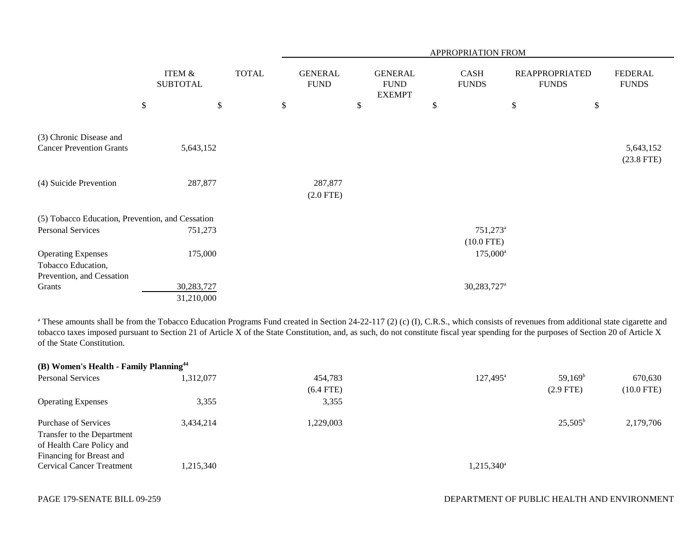|                                                            |                                      |              | APPROPRIATION FROM            |                                                |                                        |                                       |                                |  |
|------------------------------------------------------------|--------------------------------------|--------------|-------------------------------|------------------------------------------------|----------------------------------------|---------------------------------------|--------------------------------|--|
|                                                            | <b>ITEM &amp;</b><br><b>SUBTOTAL</b> | <b>TOTAL</b> | <b>GENERAL</b><br><b>FUND</b> | <b>GENERAL</b><br><b>FUND</b><br><b>EXEMPT</b> | <b>CASH</b><br><b>FUNDS</b>            | <b>REAPPROPRIATED</b><br><b>FUNDS</b> | <b>FEDERAL</b><br><b>FUNDS</b> |  |
|                                                            | $\$$<br>\$                           |              | \$                            | \$                                             | \$                                     | \$<br>\$                              |                                |  |
| (3) Chronic Disease and<br><b>Cancer Prevention Grants</b> | 5,643,152                            |              |                               |                                                |                                        |                                       | 5,643,152<br>$(23.8$ FTE)      |  |
| (4) Suicide Prevention                                     | 287,877                              |              | 287,877<br>$(2.0$ FTE)        |                                                |                                        |                                       |                                |  |
| (5) Tobacco Education, Prevention, and Cessation           |                                      |              |                               |                                                |                                        |                                       |                                |  |
| Personal Services                                          | 751,273                              |              |                               |                                                | $751,273$ <sup>a</sup><br>$(10.0$ FTE) |                                       |                                |  |
| <b>Operating Expenses</b>                                  | 175,000                              |              |                               |                                                | $175,000^{\rm a}$                      |                                       |                                |  |
| Tobacco Education,<br>Prevention, and Cessation            |                                      |              |                               |                                                |                                        |                                       |                                |  |
| Grants                                                     | 30,283,727<br>31,210,000             |              |                               |                                                | 30,283,727 <sup>a</sup>                |                                       |                                |  |

<sup>a</sup> These amounts shall be from the Tobacco Education Programs Fund created in Section 24-22-117 (2) (c) (I), C.R.S., which consists of revenues from additional state cigarette and tobacco taxes imposed pursuant to Section 21 of Article X of the State Constitution, and, as such, do not constitute fiscal year spending for the purposes of Section 20 of Article X of the State Constitution.

| (B) Women's Health - Family Planning <sup>44</sup> |           |             |                        |                  |              |
|----------------------------------------------------|-----------|-------------|------------------------|------------------|--------------|
| <b>Personal Services</b>                           | ,312,077  | 454,783     | $127,495^{\circ}$      | $59,169^{\rm b}$ | 670,630      |
|                                                    |           | $(6.4$ FTE) |                        | $(2.9$ FTE)      | $(10.0$ FTE) |
| <b>Operating Expenses</b>                          | 3,355     | 3,355       |                        |                  |              |
| Purchase of Services                               | 3.434.214 | ,229,003    |                        | $25,505^{\rm b}$ | 2,179,706    |
| Transfer to the Department                         |           |             |                        |                  |              |
| of Health Care Policy and                          |           |             |                        |                  |              |
| Financing for Breast and                           |           |             |                        |                  |              |
| <b>Cervical Cancer Treatment</b>                   | ,215,340  |             | 1,215,340 <sup>a</sup> |                  |              |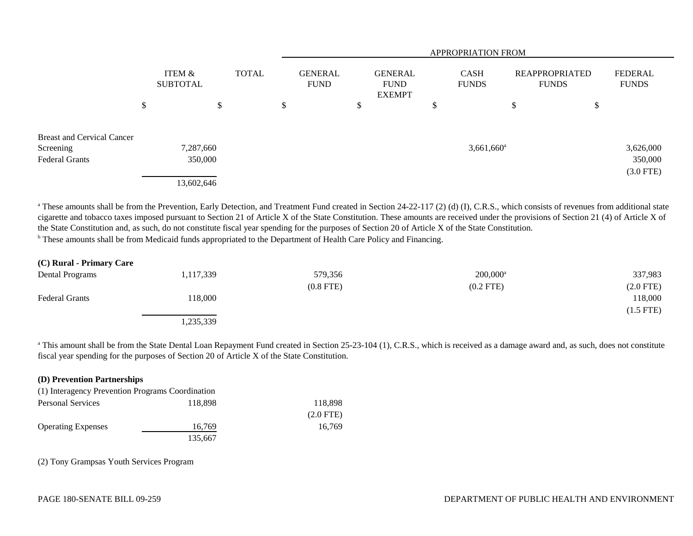|                                   |    |                           |        |  |              | APPROPRIATION FROM            |    |                                                |   |                             |    |                                       |             |                                |
|-----------------------------------|----|---------------------------|--------|--|--------------|-------------------------------|----|------------------------------------------------|---|-----------------------------|----|---------------------------------------|-------------|--------------------------------|
|                                   |    | ITEM &<br><b>SUBTOTAL</b> |        |  | <b>TOTAL</b> | <b>GENERAL</b><br><b>FUND</b> |    | <b>GENERAL</b><br><b>FUND</b><br><b>EXEMPT</b> |   | <b>CASH</b><br><b>FUNDS</b> |    | <b>REAPPROPRIATED</b><br><b>FUNDS</b> |             | <b>FEDERAL</b><br><b>FUNDS</b> |
|                                   | \$ |                           | Φ<br>D |  | \$           |                               | ۰D |                                                | D |                             | \$ | \$                                    |             |                                |
| <b>Breast and Cervical Cancer</b> |    |                           |        |  |              |                               |    |                                                |   |                             |    |                                       |             |                                |
| Screening                         |    | 7,287,660                 |        |  |              |                               |    |                                                |   | $3,661,660$ <sup>a</sup>    |    |                                       | 3,626,000   |                                |
| <b>Federal Grants</b>             |    | 350,000                   |        |  |              |                               |    |                                                |   |                             |    |                                       | 350,000     |                                |
|                                   |    | 13,602,646                |        |  |              |                               |    |                                                |   |                             |    |                                       | $(3.0$ FTE) |                                |

<sup>a</sup> These amounts shall be from the Prevention, Early Detection, and Treatment Fund created in Section 24-22-117 (2) (d) (I), C.R.S., which consists of revenues from additional state cigarette and tobacco taxes imposed pursuant to Section 21 of Article X of the State Constitution. These amounts are received under the provisions of Section 21 (4) of Article X of the State Constitution and, as such, do not constitute fiscal year spending for the purposes of Section 20 of Article X of the State Constitution.

<sup>b</sup> These amounts shall be from Medicaid funds appropriated to the Department of Health Care Policy and Financing.

| (C) Rural - Primary Care |           |             |             |                |
|--------------------------|-----------|-------------|-------------|----------------|
| Dental Programs          | 1,117,339 | 579,356     | $200,000^a$ | 337,983        |
|                          |           | $(0.8$ FTE) | $(0.2$ FTE) | $(2.0$ FTE)    |
| <b>Federal Grants</b>    | 118,000   |             |             | 118,000        |
|                          |           |             |             | $(1.5$ FTE $)$ |
|                          | ,235,339  |             |             |                |

<sup>a</sup> This amount shall be from the State Dental Loan Repayment Fund created in Section 25-23-104 (1), C.R.S., which is received as a damage award and, as such, does not constitute fiscal year spending for the purposes of Section 20 of Article X of the State Constitution.

| (D) Prevention Partnerships                      |         |             |  |  |  |  |  |
|--------------------------------------------------|---------|-------------|--|--|--|--|--|
| (1) Interagency Prevention Programs Coordination |         |             |  |  |  |  |  |
| <b>Personal Services</b>                         | 118,898 | 118,898     |  |  |  |  |  |
|                                                  |         | $(2.0$ FTE) |  |  |  |  |  |
| <b>Operating Expenses</b>                        | 16,769  | 16.769      |  |  |  |  |  |
|                                                  | 135,667 |             |  |  |  |  |  |

(2) Tony Grampsas Youth Services Program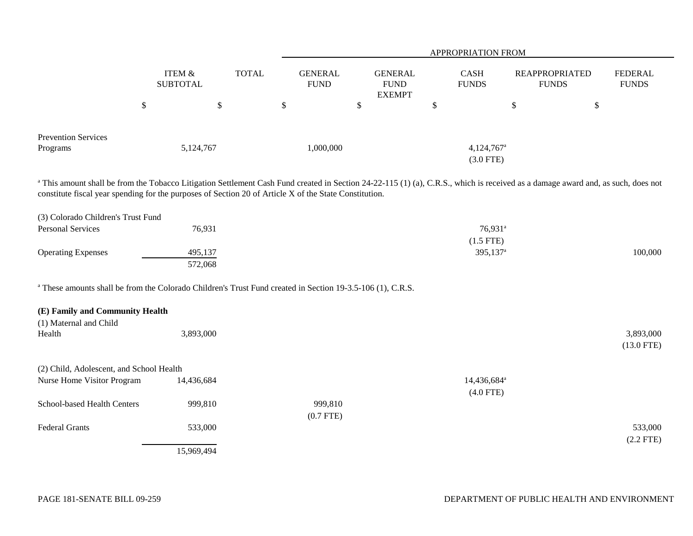|                                                                                                                                                                                                                                                                                                       |                           |              | APPROPRIATION FROM            |                                                 |        |                                         |                                       |                                |  |  |  |
|-------------------------------------------------------------------------------------------------------------------------------------------------------------------------------------------------------------------------------------------------------------------------------------------------------|---------------------------|--------------|-------------------------------|-------------------------------------------------|--------|-----------------------------------------|---------------------------------------|--------------------------------|--|--|--|
|                                                                                                                                                                                                                                                                                                       | ITEM &<br><b>SUBTOTAL</b> | <b>TOTAL</b> | <b>GENERAL</b><br><b>FUND</b> | <b>GENERAL</b><br>${\rm FUND}$<br><b>EXEMPT</b> |        | <b>CASH</b><br><b>FUNDS</b>             | <b>REAPPROPRIATED</b><br><b>FUNDS</b> | <b>FEDERAL</b><br><b>FUNDS</b> |  |  |  |
| $\$$                                                                                                                                                                                                                                                                                                  | $\$\,$                    |              | $\$$                          | \$                                              | $\$\,$ |                                         | \$                                    | $\boldsymbol{\mathsf{S}}$      |  |  |  |
| <b>Prevention Services</b><br>Programs                                                                                                                                                                                                                                                                | 5,124,767                 |              | 1,000,000                     |                                                 |        | $4,124,767$ <sup>a</sup><br>$(3.0$ FTE) |                                       |                                |  |  |  |
| <sup>a</sup> This amount shall be from the Tobacco Litigation Settlement Cash Fund created in Section 24-22-115 (1) (a), C.R.S., which is received as a damage award and, as such, does not<br>constitute fiscal year spending for the purposes of Section 20 of Article X of the State Constitution. |                           |              |                               |                                                 |        |                                         |                                       |                                |  |  |  |
| (3) Colorado Children's Trust Fund                                                                                                                                                                                                                                                                    |                           |              |                               |                                                 |        |                                         |                                       |                                |  |  |  |
| <b>Personal Services</b>                                                                                                                                                                                                                                                                              | 76,931                    |              |                               |                                                 |        | 76,931 <sup>a</sup>                     |                                       |                                |  |  |  |
|                                                                                                                                                                                                                                                                                                       |                           |              |                               |                                                 |        | $(1.5$ FTE)                             |                                       |                                |  |  |  |
| <b>Operating Expenses</b>                                                                                                                                                                                                                                                                             | 495,137<br>572,068        |              |                               |                                                 |        | 395,137 <sup>a</sup>                    |                                       | 100,000                        |  |  |  |
| <sup>a</sup> These amounts shall be from the Colorado Children's Trust Fund created in Section 19-3.5-106 (1), C.R.S.                                                                                                                                                                                 |                           |              |                               |                                                 |        |                                         |                                       |                                |  |  |  |
| (E) Family and Community Health<br>(1) Maternal and Child                                                                                                                                                                                                                                             |                           |              |                               |                                                 |        |                                         |                                       |                                |  |  |  |
| Health                                                                                                                                                                                                                                                                                                | 3,893,000                 |              |                               |                                                 |        |                                         |                                       | 3,893,000<br>$(13.0$ FTE)      |  |  |  |
| (2) Child, Adolescent, and School Health                                                                                                                                                                                                                                                              |                           |              |                               |                                                 |        |                                         |                                       |                                |  |  |  |
| Nurse Home Visitor Program                                                                                                                                                                                                                                                                            | 14,436,684                |              |                               |                                                 |        | 14,436,684 <sup>a</sup><br>$(4.0$ FTE)  |                                       |                                |  |  |  |
| School-based Health Centers                                                                                                                                                                                                                                                                           | 999,810                   |              | 999,810<br>$(0.7$ FTE)        |                                                 |        |                                         |                                       |                                |  |  |  |
| <b>Federal Grants</b>                                                                                                                                                                                                                                                                                 | 533,000                   |              |                               |                                                 |        |                                         |                                       | 533,000<br>$(2.2$ FTE)         |  |  |  |
|                                                                                                                                                                                                                                                                                                       | 15,969,494                |              |                               |                                                 |        |                                         |                                       |                                |  |  |  |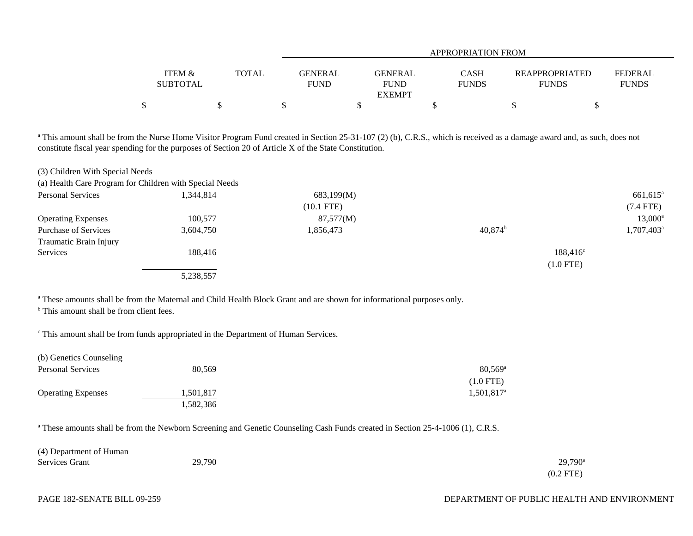|                 |              |             | APPROPRIATION FROM           |              |                       |                |  |  |  |  |
|-----------------|--------------|-------------|------------------------------|--------------|-----------------------|----------------|--|--|--|--|
| ITEM &          | <b>TOTAL</b> | GENERAL     | <b>GENERAL</b>               | <b>CASH</b>  | <b>REAPPROPRIATED</b> | <b>FEDERAL</b> |  |  |  |  |
| <b>SUBTOTAL</b> |              | <b>FUND</b> | <b>FUND</b><br><b>EXEMPT</b> | <b>FUNDS</b> | <b>FUNDS</b>          | <b>FUNDS</b>   |  |  |  |  |
| \$              |              |             |                              |              |                       |                |  |  |  |  |

<sup>a</sup> This amount shall be from the Nurse Home Visitor Program Fund created in Section 25-31-107 (2) (b), C.R.S., which is received as a damage award and, as such, does not constitute fiscal year spending for the purposes of Section 20 of Article X of the State Constitution.

| (3) Children With Special Needs                         |           |              |                  |                        |
|---------------------------------------------------------|-----------|--------------|------------------|------------------------|
| (a) Health Care Program for Children with Special Needs |           |              |                  |                        |
| <b>Personal Services</b>                                | 1,344,814 | 683,199(M)   |                  | $661,615$ <sup>a</sup> |
|                                                         |           | $(10.1$ FTE) |                  | $(7.4$ FTE)            |
| <b>Operating Expenses</b>                               | 100,577   | 87,577(M)    |                  | $13,000^{\circ}$       |
| <b>Purchase of Services</b>                             | 3,604,750 | 1,856,473    | $40,874^{\rm b}$ | 1,707,403 <sup>a</sup> |
| Traumatic Brain Injury                                  |           |              |                  |                        |
| Services                                                | 188.416   |              |                  | $188,416^{\circ}$      |
|                                                         |           |              | $(1.0$ FTE)      |                        |
|                                                         | 5,238,557 |              |                  |                        |

<sup>a</sup> These amounts shall be from the Maternal and Child Health Block Grant and are shown for informational purposes only.

<sup>b</sup> This amount shall be from client fees.

c This amount shall be from funds appropriated in the Department of Human Services.

| (b) Genetics Counseling   |           |                       |
|---------------------------|-----------|-----------------------|
| <b>Personal Services</b>  | 80.569    | $80.569$ <sup>a</sup> |
|                           |           | $(1.0$ FTE)           |
| <b>Operating Expenses</b> | 1,501,817 | $1,501,817^{\circ}$   |
|                           | 1,582,386 |                       |

<sup>a</sup> These amounts shall be from the Newborn Screening and Genetic Counseling Cash Funds created in Section 25-4-1006 (1), C.R.S.

| (4) Department of Human |        |                  |
|-------------------------|--------|------------------|
| Services Grant          | 29,790 | $29,790^{\rm a}$ |
|                         |        | $(0.2$ FTE)      |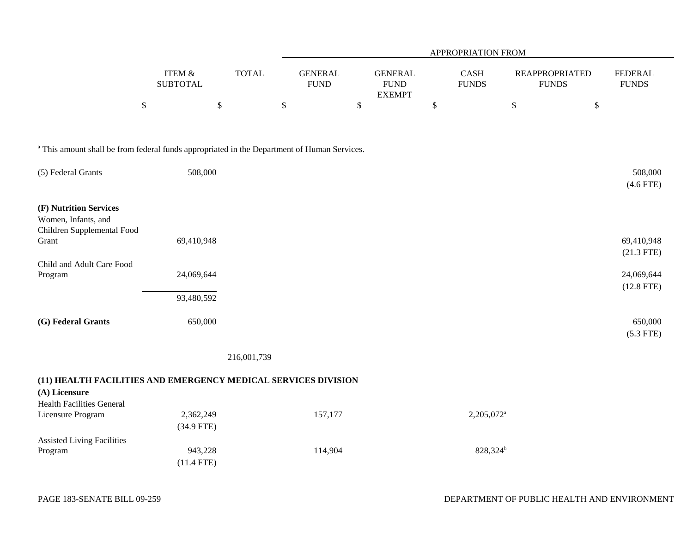|                                                                                                        |                              |                           |                               | APPROPRIATION FROM                             |                        |                                       |                                |  |  |  |  |
|--------------------------------------------------------------------------------------------------------|------------------------------|---------------------------|-------------------------------|------------------------------------------------|------------------------|---------------------------------------|--------------------------------|--|--|--|--|
|                                                                                                        | ITEM $\&$<br><b>SUBTOTAL</b> | <b>TOTAL</b>              | <b>GENERAL</b><br><b>FUND</b> | <b>GENERAL</b><br><b>FUND</b><br><b>EXEMPT</b> | CASH<br><b>FUNDS</b>   | <b>REAPPROPRIATED</b><br><b>FUNDS</b> | <b>FEDERAL</b><br><b>FUNDS</b> |  |  |  |  |
|                                                                                                        | $\boldsymbol{\mathsf{S}}$    | $\boldsymbol{\mathsf{S}}$ | $\boldsymbol{\mathsf{S}}$     | \$                                             | $\mathbb{S}$           | \$<br>\$                              |                                |  |  |  |  |
| <sup>a</sup> This amount shall be from federal funds appropriated in the Department of Human Services. |                              |                           |                               |                                                |                        |                                       |                                |  |  |  |  |
| (5) Federal Grants                                                                                     | 508,000                      |                           |                               |                                                |                        |                                       | 508,000<br>$(4.6$ FTE)         |  |  |  |  |
| (F) Nutrition Services<br>Women, Infants, and<br>Children Supplemental Food<br>Grant                   | 69,410,948                   |                           |                               |                                                |                        |                                       | 69,410,948                     |  |  |  |  |
|                                                                                                        |                              |                           |                               |                                                |                        |                                       | $(21.3$ FTE)                   |  |  |  |  |
| Child and Adult Care Food<br>Program                                                                   | 24,069,644                   |                           |                               |                                                |                        |                                       | 24,069,644<br>$(12.8$ FTE)     |  |  |  |  |
|                                                                                                        | 93,480,592                   |                           |                               |                                                |                        |                                       |                                |  |  |  |  |
| (G) Federal Grants                                                                                     | 650,000                      |                           |                               |                                                |                        |                                       | 650,000<br>$(5.3$ FTE)         |  |  |  |  |
|                                                                                                        |                              | 216,001,739               |                               |                                                |                        |                                       |                                |  |  |  |  |
| (11) HEALTH FACILITIES AND EMERGENCY MEDICAL SERVICES DIVISION<br>(A) Licensure                        |                              |                           |                               |                                                |                        |                                       |                                |  |  |  |  |
| <b>Health Facilities General</b><br>Licensure Program                                                  | 2,362,249<br>$(34.9$ FTE)    |                           | 157,177                       |                                                | 2,205,072 <sup>a</sup> |                                       |                                |  |  |  |  |
| <b>Assisted Living Facilities</b><br>Program                                                           | 943,228<br>$(11.4$ FTE)      |                           | 114,904                       |                                                | 828,324 <sup>b</sup>   |                                       |                                |  |  |  |  |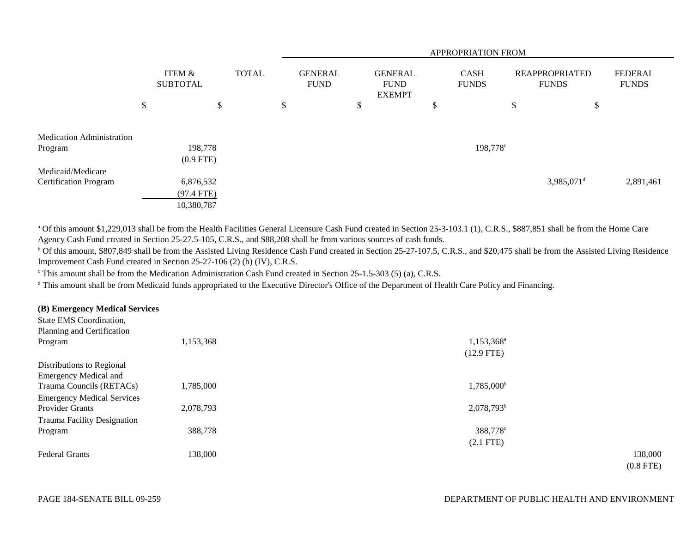|                                  |                                         |    |              | APPROPRIATION FROM |                               |    |                                                |   |                             |                                       |                          |                                |
|----------------------------------|-----------------------------------------|----|--------------|--------------------|-------------------------------|----|------------------------------------------------|---|-----------------------------|---------------------------------------|--------------------------|--------------------------------|
|                                  | <b>ITEM &amp;</b><br><b>SUBTOTAL</b>    |    | <b>TOTAL</b> |                    | <b>GENERAL</b><br><b>FUND</b> |    | <b>GENERAL</b><br><b>FUND</b><br><b>EXEMPT</b> |   | <b>CASH</b><br><b>FUNDS</b> | <b>REAPPROPRIATED</b><br><b>FUNDS</b> |                          | <b>FEDERAL</b><br><b>FUNDS</b> |
|                                  | \$                                      | \$ |              | \$                 |                               | \$ |                                                | ъ |                             | \$                                    | \$                       |                                |
| <b>Medication Administration</b> |                                         |    |              |                    |                               |    |                                                |   |                             |                                       |                          |                                |
| Program                          | 198,778<br>$(0.9$ FTE)                  |    |              |                    |                               |    |                                                |   | 198,778 <sup>c</sup>        |                                       |                          |                                |
| Medicaid/Medicare                |                                         |    |              |                    |                               |    |                                                |   |                             |                                       |                          |                                |
| <b>Certification Program</b>     | 6,876,532<br>$(97.4$ FTE)<br>10,380,787 |    |              |                    |                               |    |                                                |   |                             |                                       | $3,985,071$ <sup>d</sup> | 2,891,461                      |

<sup>a</sup> Of this amount \$1,229,013 shall be from the Health Facilities General Licensure Cash Fund created in Section 25-3-103.1 (1), C.R.S., \$887,851 shall be from the Home Care Agency Cash Fund created in Section 25-27.5-105, C.R.S., and \$88,208 shall be from various sources of cash funds.

<sup>b</sup> Of this amount, \$807,849 shall be from the Assisted Living Residence Cash Fund created in Section 25-27-107.5, C.R.S., and \$20,475 shall be from the Assisted Living Residence Improvement Cash Fund created in Section 25-27-106 (2) (b) (IV), C.R.S.

<sup>c</sup> This amount shall be from the Medication Administration Cash Fund created in Section 25-1.5-303 (5) (a), C.R.S.

<sup>d</sup> This amount shall be from Medicaid funds appropriated to the Executive Director's Office of the Department of Health Care Policy and Financing.

## **(B) Emergency Medical Services**

| State EMS Coordination,           |           |                        |             |
|-----------------------------------|-----------|------------------------|-------------|
| Planning and Certification        |           |                        |             |
| Program                           | 1,153,368 | 1,153,368 <sup>a</sup> |             |
|                                   |           | $(12.9$ FTE)           |             |
| Distributions to Regional         |           |                        |             |
| <b>Emergency Medical and</b>      |           |                        |             |
| Trauma Councils (RETACs)          | 1,785,000 | $1,785,000^{\rm b}$    |             |
| <b>Emergency Medical Services</b> |           |                        |             |
| Provider Grants                   | 2,078,793 | $2,078,793^b$          |             |
| Trauma Facility Designation       |           |                        |             |
| Program                           | 388,778   | 388,778 <sup>c</sup>   |             |
|                                   |           | $(2.1$ FTE)            |             |
| <b>Federal Grants</b>             | 138,000   |                        | 138,000     |
|                                   |           |                        | $(0.8$ FTE) |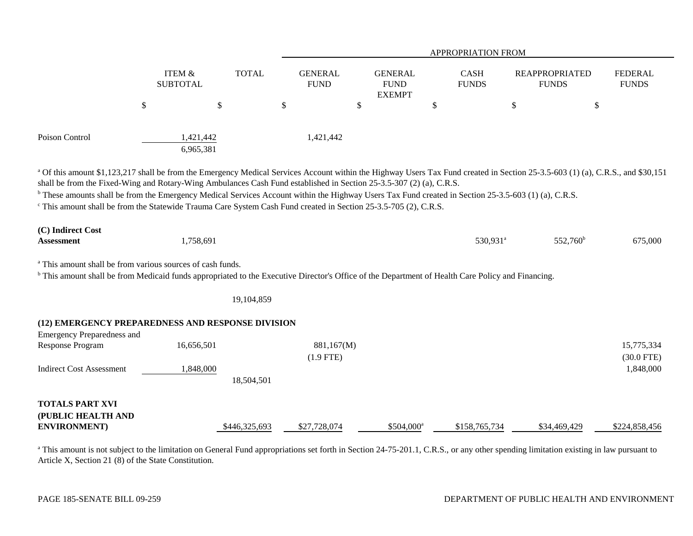|                                                                                                                                                                                                                                                                                                                                                                                                                       |                                      |               | APPROPRIATION FROM            |                                                |                             |                                                                                                                                                                                            |                                |  |  |  |
|-----------------------------------------------------------------------------------------------------------------------------------------------------------------------------------------------------------------------------------------------------------------------------------------------------------------------------------------------------------------------------------------------------------------------|--------------------------------------|---------------|-------------------------------|------------------------------------------------|-----------------------------|--------------------------------------------------------------------------------------------------------------------------------------------------------------------------------------------|--------------------------------|--|--|--|
|                                                                                                                                                                                                                                                                                                                                                                                                                       | <b>ITEM &amp;</b><br><b>SUBTOTAL</b> | <b>TOTAL</b>  | <b>GENERAL</b><br><b>FUND</b> | <b>GENERAL</b><br><b>FUND</b><br><b>EXEMPT</b> | <b>CASH</b><br><b>FUNDS</b> | <b>REAPPROPRIATED</b><br><b>FUNDS</b>                                                                                                                                                      | <b>FEDERAL</b><br><b>FUNDS</b> |  |  |  |
|                                                                                                                                                                                                                                                                                                                                                                                                                       | \$                                   | \$            | \$                            | \$                                             | \$                          | \$                                                                                                                                                                                         | \$                             |  |  |  |
| Poison Control                                                                                                                                                                                                                                                                                                                                                                                                        | 1,421,442<br>6,965,381               |               | 1,421,442                     |                                                |                             |                                                                                                                                                                                            |                                |  |  |  |
| shall be from the Fixed-Wing and Rotary-Wing Ambulances Cash Fund established in Section 25-3.5-307 (2) (a), C.R.S.<br><sup>b</sup> These amounts shall be from the Emergency Medical Services Account within the Highway Users Tax Fund created in Section 25-3.5-603 (1) (a), C.R.S.<br><sup>c</sup> This amount shall be from the Statewide Trauma Care System Cash Fund created in Section 25-3.5-705 (2), C.R.S. |                                      |               |                               |                                                |                             | <sup>a</sup> Of this amount \$1,123,217 shall be from the Emergency Medical Services Account within the Highway Users Tax Fund created in Section 25-3.5-603 (1) (a), C.R.S., and \$30,151 |                                |  |  |  |
| (C) Indirect Cost<br><b>Assessment</b>                                                                                                                                                                                                                                                                                                                                                                                | 1,758,691                            |               |                               |                                                | 530,931 <sup>a</sup>        | 552,760 <sup>b</sup>                                                                                                                                                                       | 675,000                        |  |  |  |
| <sup>a</sup> This amount shall be from various sources of cash funds.<br><sup>b</sup> This amount shall be from Medicaid funds appropriated to the Executive Director's Office of the Department of Health Care Policy and Financing.                                                                                                                                                                                 |                                      |               |                               |                                                |                             |                                                                                                                                                                                            |                                |  |  |  |
|                                                                                                                                                                                                                                                                                                                                                                                                                       |                                      | 19,104,859    |                               |                                                |                             |                                                                                                                                                                                            |                                |  |  |  |
| (12) EMERGENCY PREPAREDNESS AND RESPONSE DIVISION<br><b>Emergency Preparedness and</b><br>Response Program                                                                                                                                                                                                                                                                                                            | 16,656,501                           |               | 881,167(M)<br>$(1.9$ FTE)     |                                                |                             |                                                                                                                                                                                            | 15,775,334<br>$(30.0$ FTE)     |  |  |  |
| <b>Indirect Cost Assessment</b>                                                                                                                                                                                                                                                                                                                                                                                       | 1,848,000                            | 18,504,501    |                               |                                                |                             |                                                                                                                                                                                            | 1,848,000                      |  |  |  |
| <b>TOTALS PART XVI</b><br>(PUBLIC HEALTH AND<br><b>ENVIRONMENT</b> )                                                                                                                                                                                                                                                                                                                                                  |                                      | \$446,325,693 | \$27,728,074                  | $$504,000^a$                                   | \$158,765,734               | \$34,469,429                                                                                                                                                                               | \$224,858,456                  |  |  |  |

<sup>a</sup> This amount is not subject to the limitation on General Fund appropriations set forth in Section 24-75-201.1, C.R.S., or any other spending limitation existing in law pursuant to Article X, Section 21 (8) of the State Constitution.